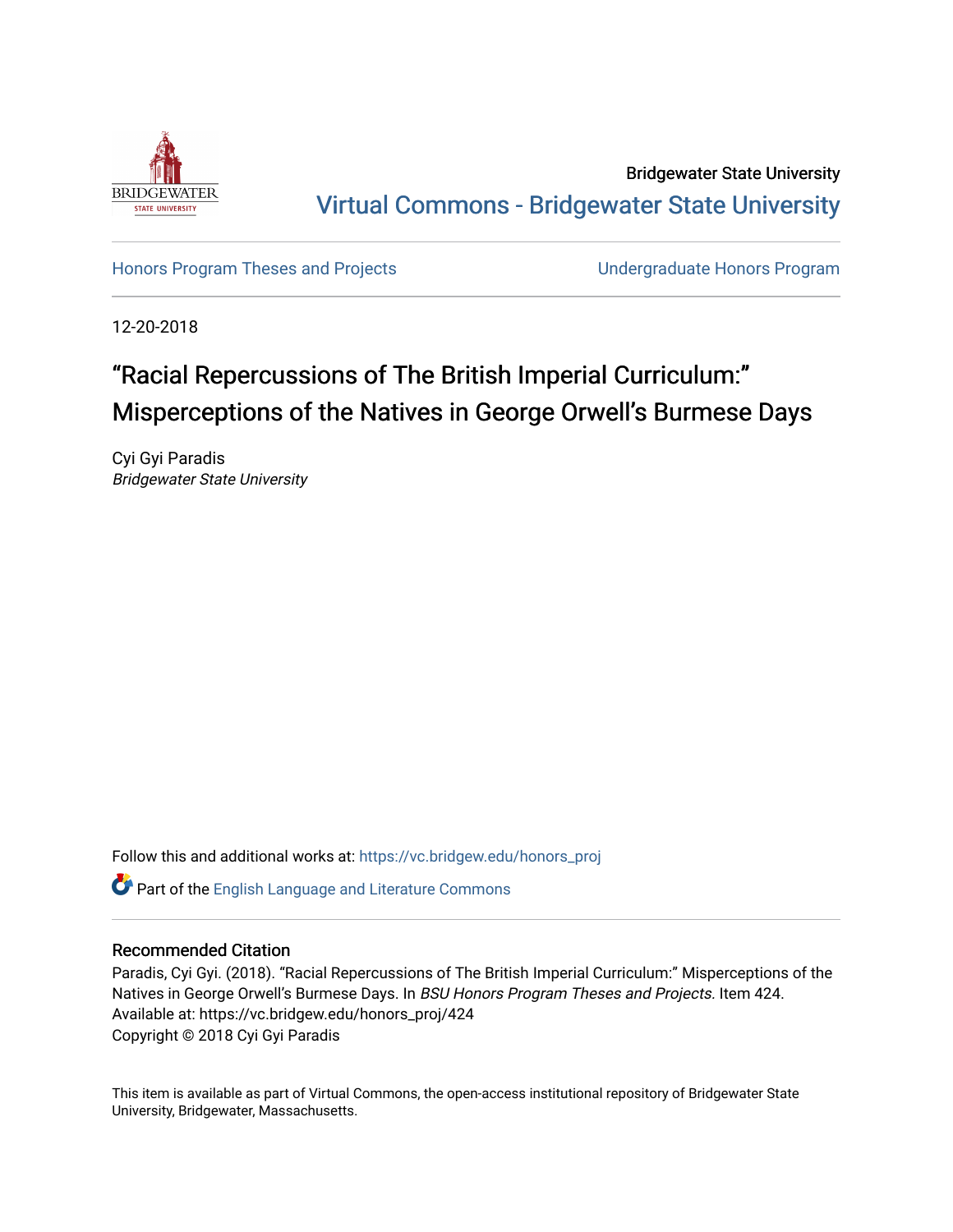

Bridgewater State University [Virtual Commons - Bridgewater State University](https://vc.bridgew.edu/) 

[Honors Program Theses and Projects](https://vc.bridgew.edu/honors_proj) [Undergraduate Honors Program](https://vc.bridgew.edu/honors) 

12-20-2018

# "Racial Repercussions of The British Imperial Curriculum:" Misperceptions of the Natives in George Orwell's Burmese Days

Cyi Gyi Paradis Bridgewater State University

Follow this and additional works at: [https://vc.bridgew.edu/honors\\_proj](https://vc.bridgew.edu/honors_proj?utm_source=vc.bridgew.edu%2Fhonors_proj%2F424&utm_medium=PDF&utm_campaign=PDFCoverPages)

Part of the [English Language and Literature Commons](http://network.bepress.com/hgg/discipline/455?utm_source=vc.bridgew.edu%2Fhonors_proj%2F424&utm_medium=PDF&utm_campaign=PDFCoverPages)

# Recommended Citation

Paradis, Cyi Gyi. (2018). "Racial Repercussions of The British Imperial Curriculum:" Misperceptions of the Natives in George Orwell's Burmese Days. In BSU Honors Program Theses and Projects. Item 424. Available at: https://vc.bridgew.edu/honors\_proj/424 Copyright © 2018 Cyi Gyi Paradis

This item is available as part of Virtual Commons, the open-access institutional repository of Bridgewater State University, Bridgewater, Massachusetts.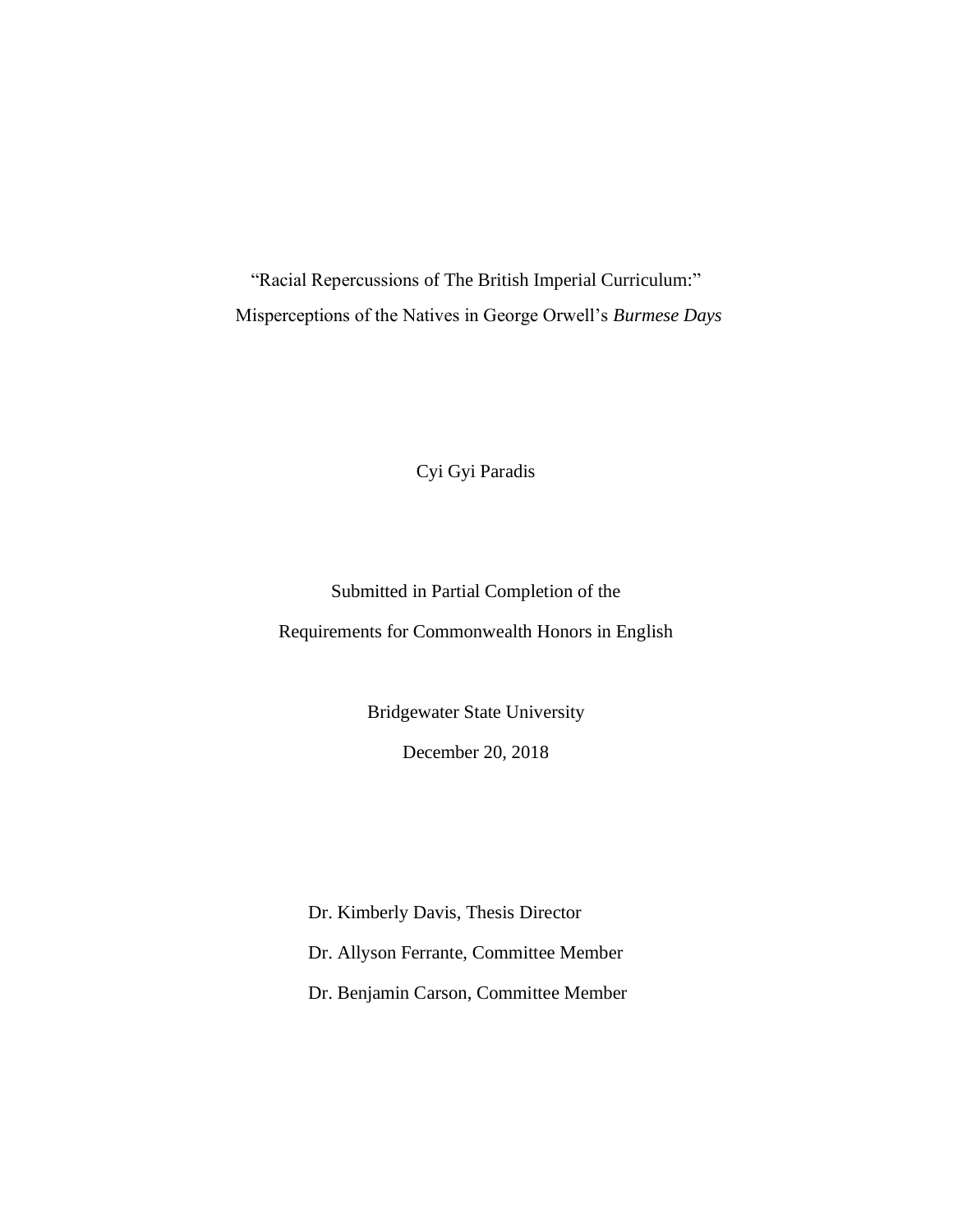"Racial Repercussions of The British Imperial Curriculum:" Misperceptions of the Natives in George Orwell's *Burmese Days*

Cyi Gyi Paradis

Submitted in Partial Completion of the

Requirements for Commonwealth Honors in English

Bridgewater State University

December 20, 2018

Dr. Kimberly Davis, Thesis Director Dr. Allyson Ferrante, Committee Member Dr. Benjamin Carson, Committee Member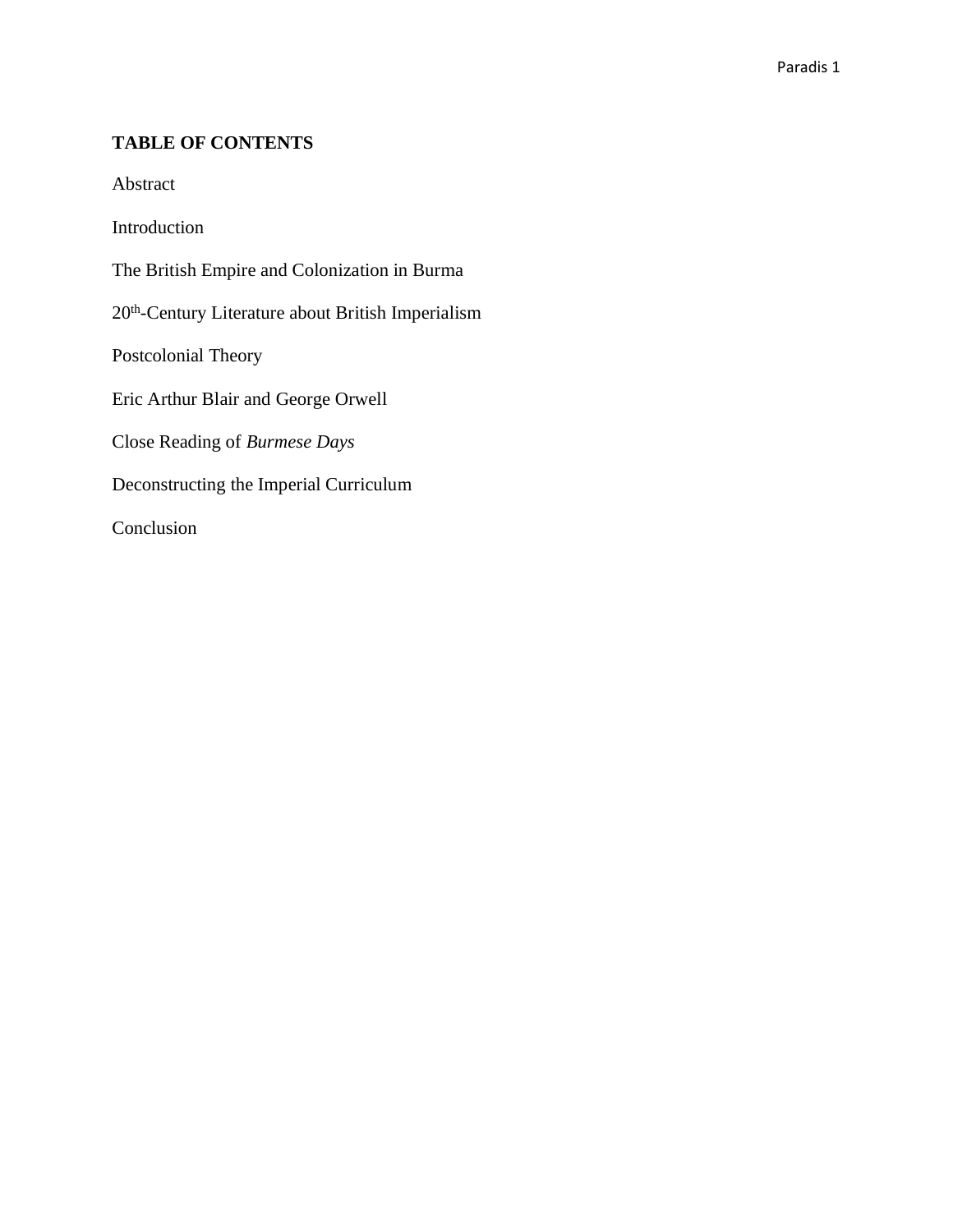# **TABLE OF CONTENTS**

Abstract

Introduction

The British Empire and Colonization in Burma

20<sup>th</sup>-Century Literature about British Imperialism

Postcolonial Theory

Eric Arthur Blair and George Orwell

Close Reading of *Burmese Days*

Deconstructing the Imperial Curriculum

Conclusion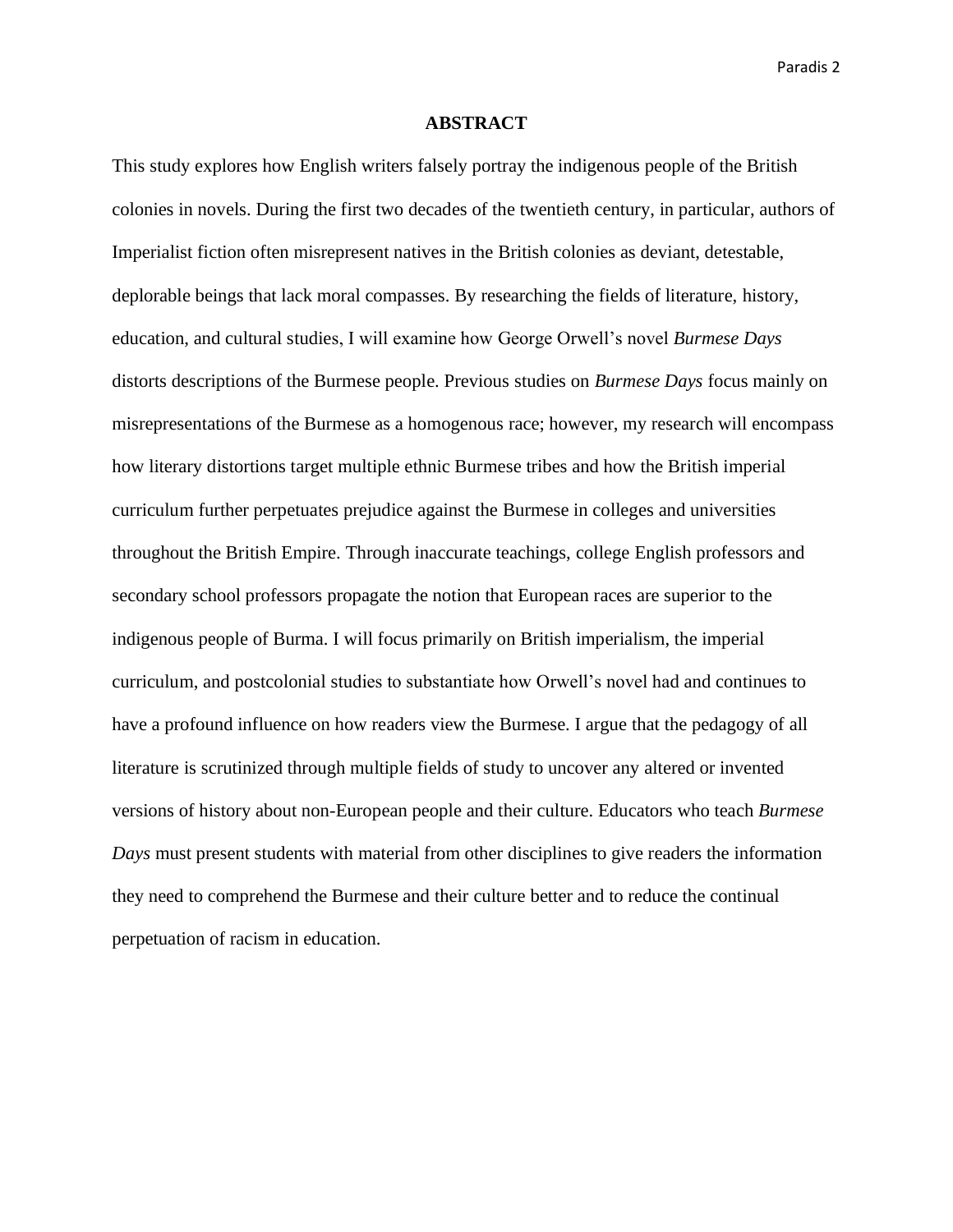### **ABSTRACT**

This study explores how English writers falsely portray the indigenous people of the British colonies in novels. During the first two decades of the twentieth century, in particular, authors of Imperialist fiction often misrepresent natives in the British colonies as deviant, detestable, deplorable beings that lack moral compasses. By researching the fields of literature, history, education, and cultural studies, I will examine how George Orwell's novel *Burmese Days*  distorts descriptions of the Burmese people. Previous studies on *Burmese Days* focus mainly on misrepresentations of the Burmese as a homogenous race; however, my research will encompass how literary distortions target multiple ethnic Burmese tribes and how the British imperial curriculum further perpetuates prejudice against the Burmese in colleges and universities throughout the British Empire. Through inaccurate teachings, college English professors and secondary school professors propagate the notion that European races are superior to the indigenous people of Burma. I will focus primarily on British imperialism, the imperial curriculum, and postcolonial studies to substantiate how Orwell's novel had and continues to have a profound influence on how readers view the Burmese. I argue that the pedagogy of all literature is scrutinized through multiple fields of study to uncover any altered or invented versions of history about non-European people and their culture. Educators who teach *Burmese Days* must present students with material from other disciplines to give readers the information they need to comprehend the Burmese and their culture better and to reduce the continual perpetuation of racism in education.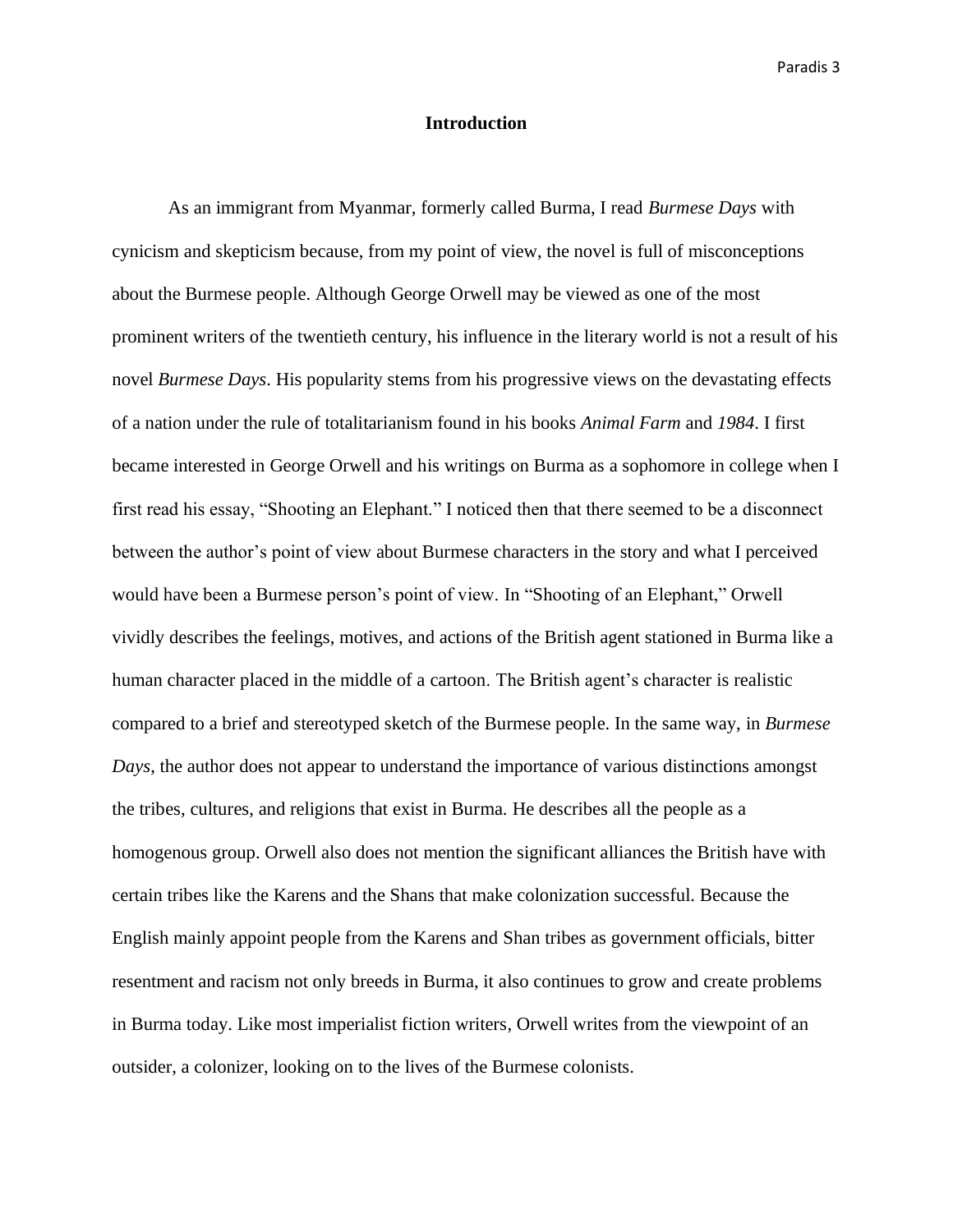# **Introduction**

As an immigrant from Myanmar, formerly called Burma, I read *Burmese Days* with cynicism and skepticism because, from my point of view, the novel is full of misconceptions about the Burmese people. Although George Orwell may be viewed as one of the most prominent writers of the twentieth century, his influence in the literary world is not a result of his novel *Burmese Days*. His popularity stems from his progressive views on the devastating effects of a nation under the rule of totalitarianism found in his books *Animal Farm* and *1984*. I first became interested in George Orwell and his writings on Burma as a sophomore in college when I first read his essay, "Shooting an Elephant." I noticed then that there seemed to be a disconnect between the author's point of view about Burmese characters in the story and what I perceived would have been a Burmese person's point of view. In "Shooting of an Elephant," Orwell vividly describes the feelings, motives, and actions of the British agent stationed in Burma like a human character placed in the middle of a cartoon. The British agent's character is realistic compared to a brief and stereotyped sketch of the Burmese people. In the same way, in *Burmese Days*, the author does not appear to understand the importance of various distinctions amongst the tribes, cultures, and religions that exist in Burma. He describes all the people as a homogenous group. Orwell also does not mention the significant alliances the British have with certain tribes like the Karens and the Shans that make colonization successful. Because the English mainly appoint people from the Karens and Shan tribes as government officials, bitter resentment and racism not only breeds in Burma, it also continues to grow and create problems in Burma today. Like most imperialist fiction writers, Orwell writes from the viewpoint of an outsider, a colonizer, looking on to the lives of the Burmese colonists.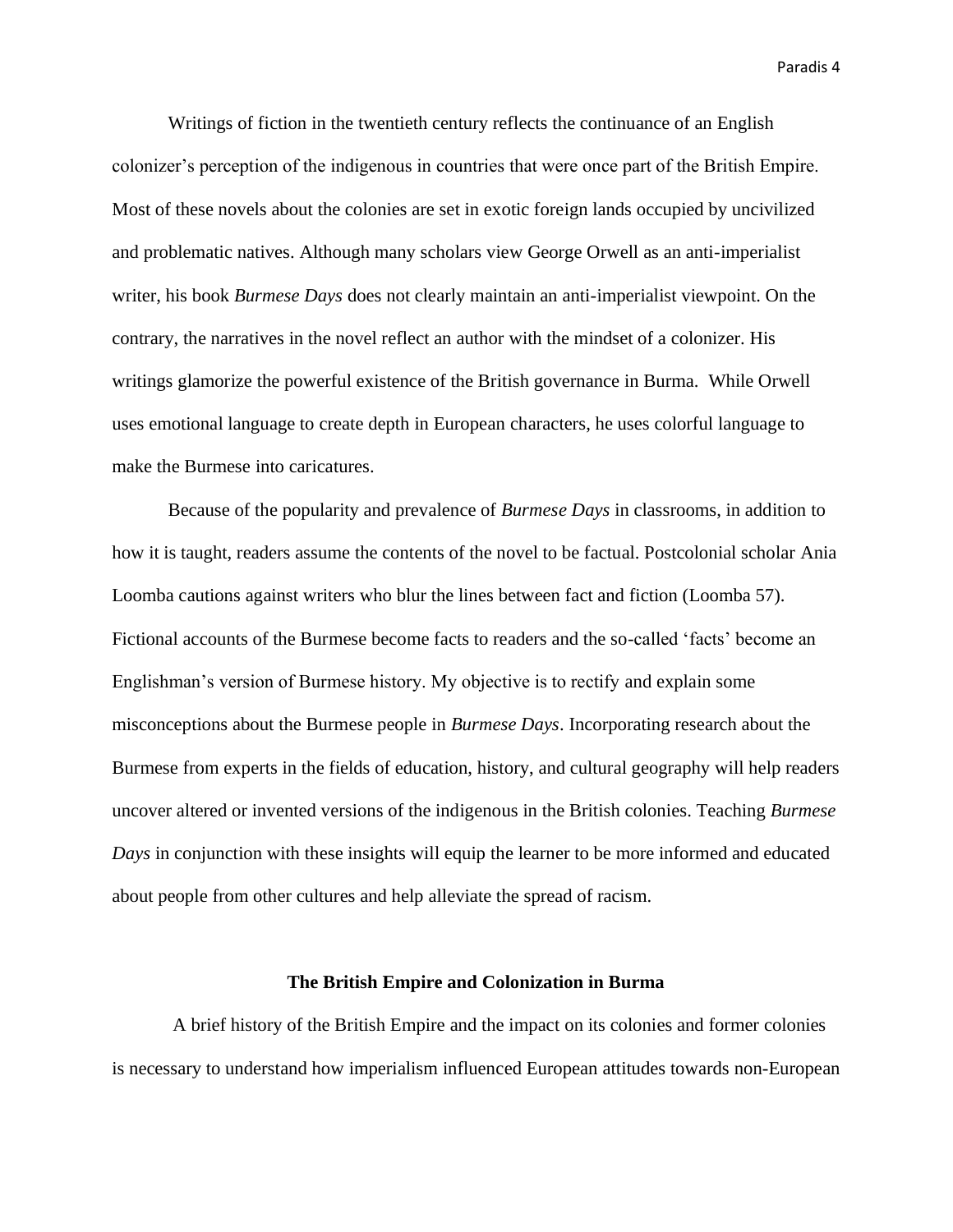Writings of fiction in the twentieth century reflects the continuance of an English colonizer's perception of the indigenous in countries that were once part of the British Empire. Most of these novels about the colonies are set in exotic foreign lands occupied by uncivilized and problematic natives. Although many scholars view George Orwell as an anti-imperialist writer, his book *Burmese Days* does not clearly maintain an anti-imperialist viewpoint. On the contrary, the narratives in the novel reflect an author with the mindset of a colonizer. His writings glamorize the powerful existence of the British governance in Burma. While Orwell uses emotional language to create depth in European characters, he uses colorful language to make the Burmese into caricatures.

Because of the popularity and prevalence of *Burmese Days* in classrooms, in addition to how it is taught, readers assume the contents of the novel to be factual. Postcolonial scholar Ania Loomba cautions against writers who blur the lines between fact and fiction (Loomba 57). Fictional accounts of the Burmese become facts to readers and the so-called 'facts' become an Englishman's version of Burmese history. My objective is to rectify and explain some misconceptions about the Burmese people in *Burmese Days*. Incorporating research about the Burmese from experts in the fields of education, history, and cultural geography will help readers uncover altered or invented versions of the indigenous in the British colonies. Teaching *Burmese Days* in conjunction with these insights will equip the learner to be more informed and educated about people from other cultures and help alleviate the spread of racism.

#### **The British Empire and Colonization in Burma**

A brief history of the British Empire and the impact on its colonies and former colonies is necessary to understand how imperialism influenced European attitudes towards non-European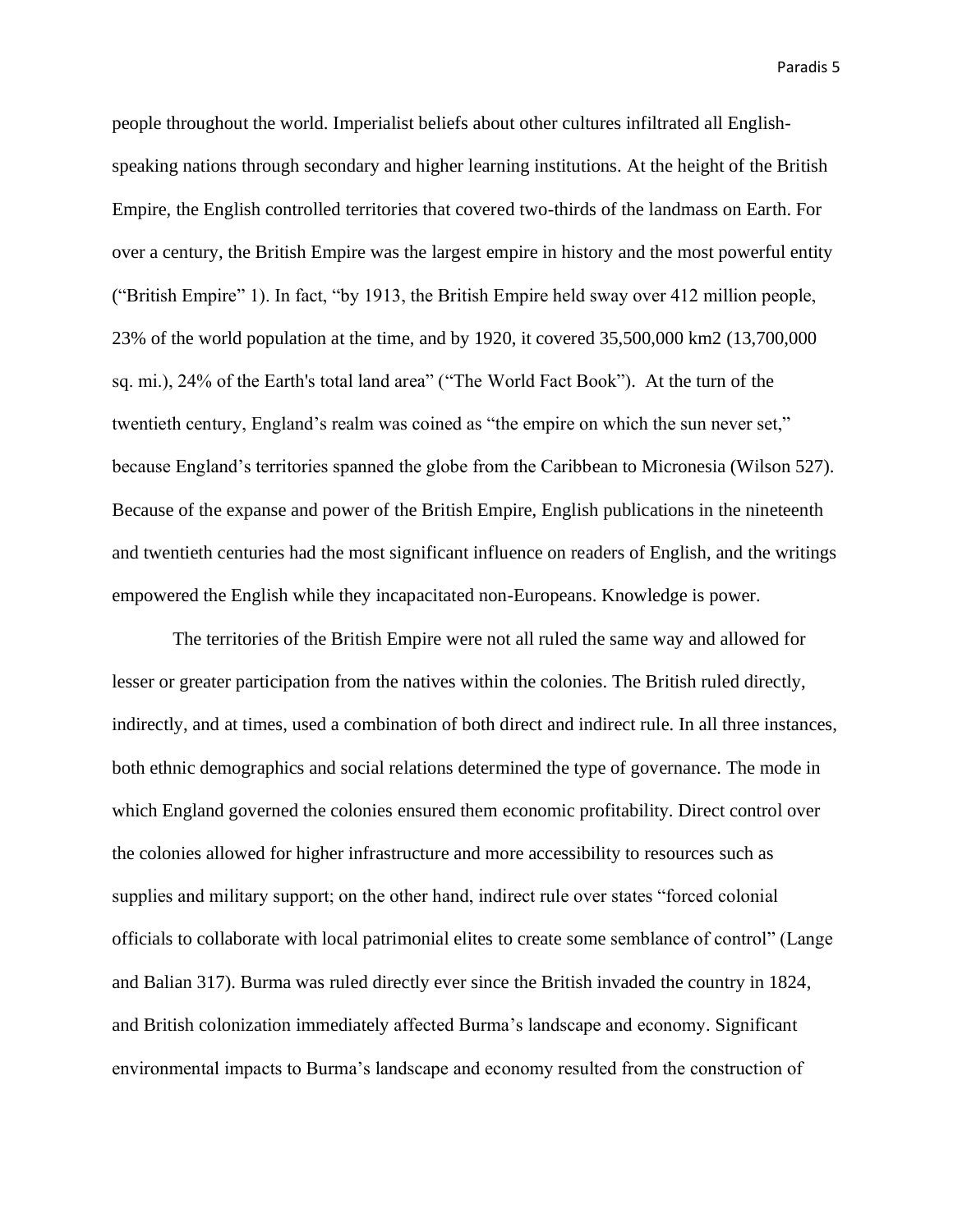people throughout the world. Imperialist beliefs about other cultures infiltrated all Englishspeaking nations through secondary and higher learning institutions. At the height of the British Empire, the English controlled territories that covered two-thirds of the landmass on Earth. For over a century, the British Empire was the largest empire in history and the most powerful entity ("British Empire" 1). In fact, "by 1913, the British Empire held sway over 412 million people, 23% of the world population at the time, and by 1920, it covered 35,500,000 km2 (13,700,000 sq. mi.), 24% of the Earth's total land area" ("The World Fact Book"). At the turn of the twentieth century, England's realm was coined as "the empire on which the sun never set," because England's territories spanned the globe from the Caribbean to Micronesia (Wilson 527). Because of the expanse and power of the British Empire, English publications in the nineteenth and twentieth centuries had the most significant influence on readers of English, and the writings empowered the English while they incapacitated non-Europeans. Knowledge is power.

The territories of the British Empire were not all ruled the same way and allowed for lesser or greater participation from the natives within the colonies. The British ruled directly, indirectly, and at times, used a combination of both direct and indirect rule. In all three instances, both ethnic demographics and social relations determined the type of governance. The mode in which England governed the colonies ensured them economic profitability. Direct control over the colonies allowed for higher infrastructure and more accessibility to resources such as supplies and military support; on the other hand, indirect rule over states "forced colonial officials to collaborate with local patrimonial elites to create some semblance of control" (Lange and Balian 317). Burma was ruled directly ever since the British invaded the country in 1824, and British colonization immediately affected Burma's landscape and economy. Significant environmental impacts to Burma's landscape and economy resulted from the construction of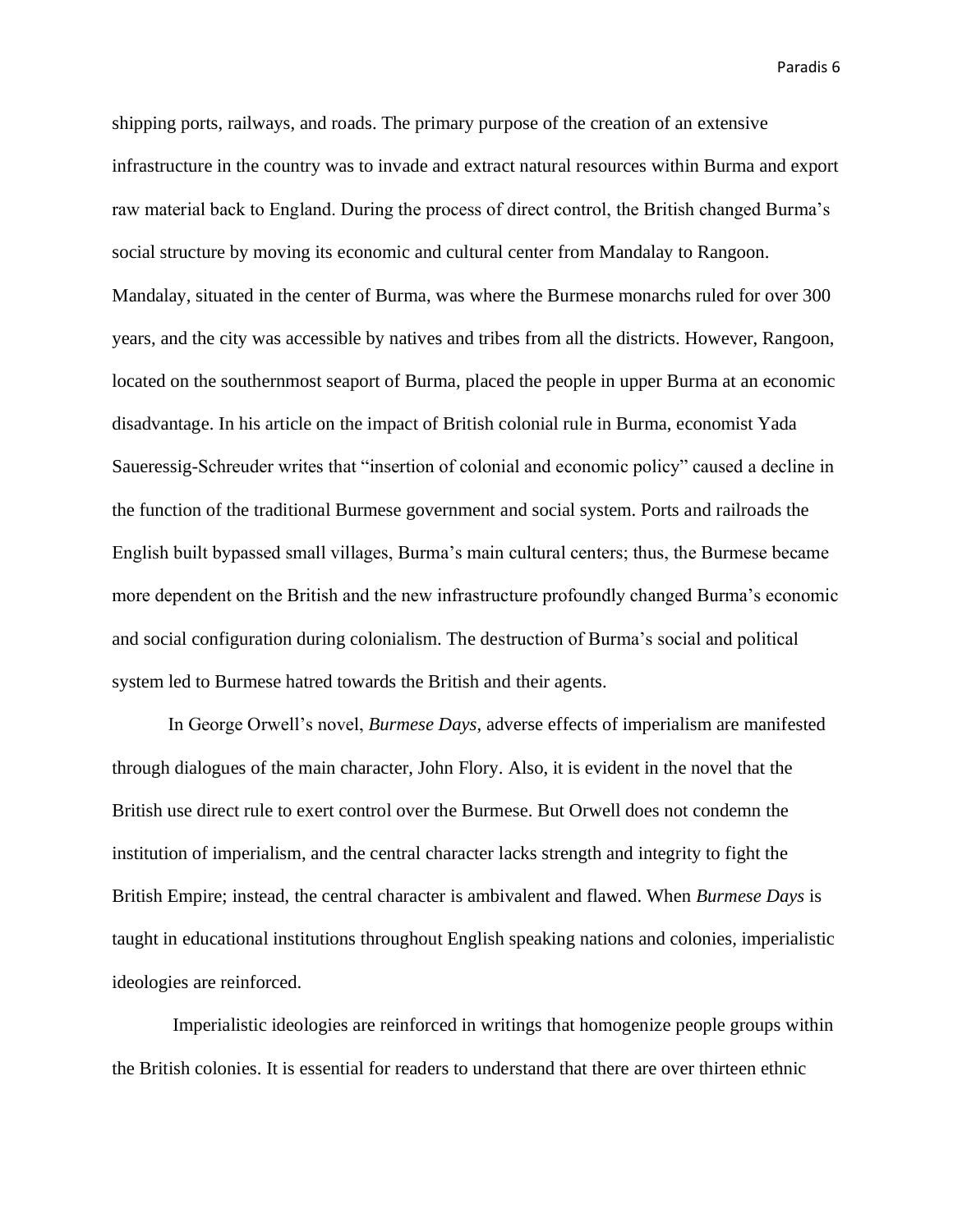shipping ports, railways, and roads. The primary purpose of the creation of an extensive infrastructure in the country was to invade and extract natural resources within Burma and export raw material back to England. During the process of direct control, the British changed Burma's social structure by moving its economic and cultural center from Mandalay to Rangoon. Mandalay, situated in the center of Burma, was where the Burmese monarchs ruled for over 300 years, and the city was accessible by natives and tribes from all the districts. However, Rangoon, located on the southernmost seaport of Burma, placed the people in upper Burma at an economic disadvantage. In his article on the impact of British colonial rule in Burma, economist Yada Saueressig-Schreuder writes that "insertion of colonial and economic policy" caused a decline in the function of the traditional Burmese government and social system. Ports and railroads the English built bypassed small villages, Burma's main cultural centers; thus, the Burmese became more dependent on the British and the new infrastructure profoundly changed Burma's economic and social configuration during colonialism. The destruction of Burma's social and political system led to Burmese hatred towards the British and their agents.

In George Orwell's novel, *Burmese Days*, adverse effects of imperialism are manifested through dialogues of the main character, John Flory. Also, it is evident in the novel that the British use direct rule to exert control over the Burmese. But Orwell does not condemn the institution of imperialism, and the central character lacks strength and integrity to fight the British Empire; instead, the central character is ambivalent and flawed. When *Burmese Days* is taught in educational institutions throughout English speaking nations and colonies, imperialistic ideologies are reinforced.

Imperialistic ideologies are reinforced in writings that homogenize people groups within the British colonies. It is essential for readers to understand that there are over thirteen ethnic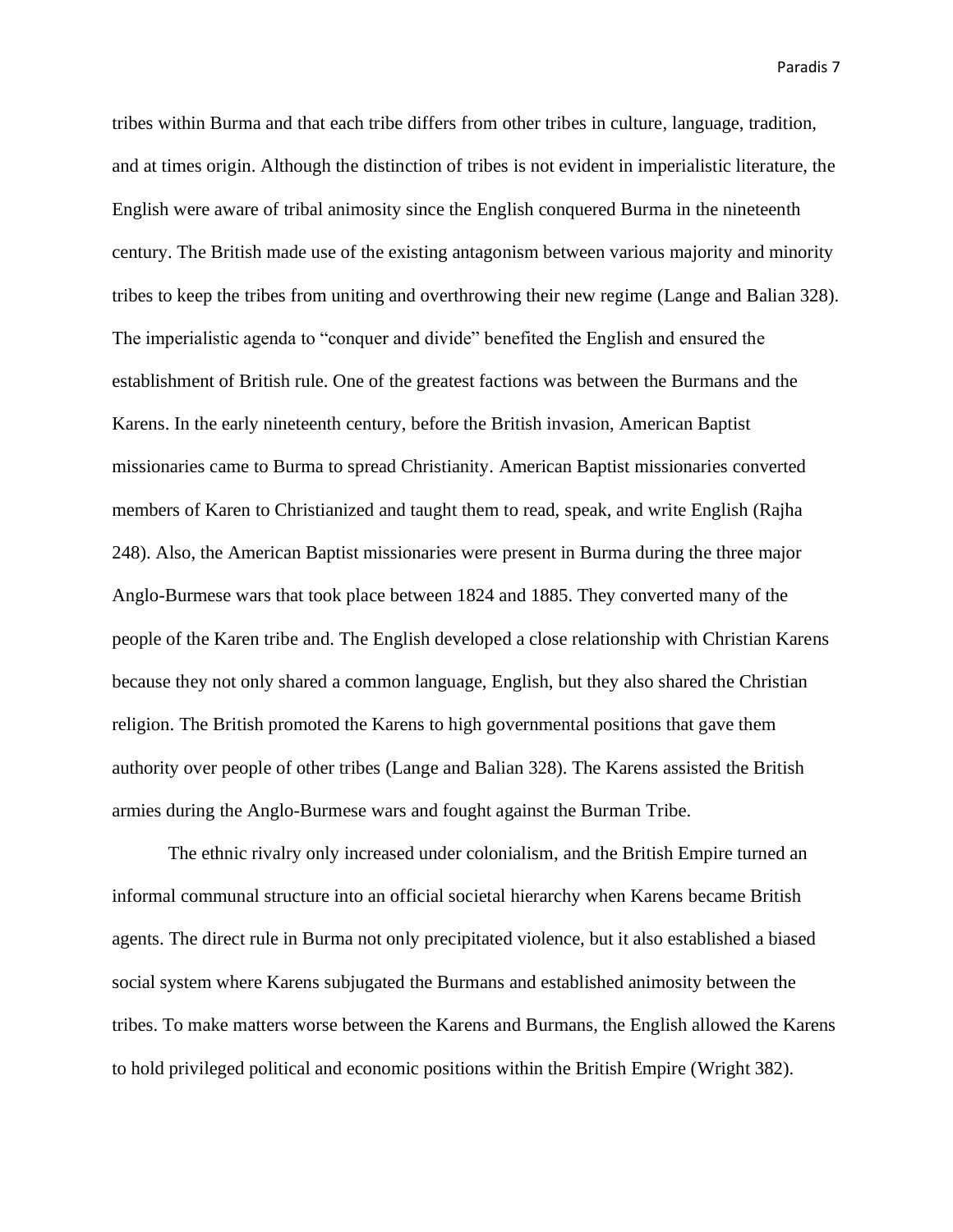tribes within Burma and that each tribe differs from other tribes in culture, language, tradition, and at times origin. Although the distinction of tribes is not evident in imperialistic literature, the English were aware of tribal animosity since the English conquered Burma in the nineteenth century. The British made use of the existing antagonism between various majority and minority tribes to keep the tribes from uniting and overthrowing their new regime (Lange and Balian 328). The imperialistic agenda to "conquer and divide" benefited the English and ensured the establishment of British rule. One of the greatest factions was between the Burmans and the Karens. In the early nineteenth century, before the British invasion, American Baptist missionaries came to Burma to spread Christianity. American Baptist missionaries converted members of Karen to Christianized and taught them to read, speak, and write English (Rajha 248). Also, the American Baptist missionaries were present in Burma during the three major Anglo-Burmese wars that took place between 1824 and 1885. They converted many of the people of the Karen tribe and. The English developed a close relationship with Christian Karens because they not only shared a common language, English, but they also shared the Christian religion. The British promoted the Karens to high governmental positions that gave them authority over people of other tribes (Lange and Balian 328). The Karens assisted the British armies during the Anglo-Burmese wars and fought against the Burman Tribe.

The ethnic rivalry only increased under colonialism, and the British Empire turned an informal communal structure into an official societal hierarchy when Karens became British agents. The direct rule in Burma not only precipitated violence, but it also established a biased social system where Karens subjugated the Burmans and established animosity between the tribes. To make matters worse between the Karens and Burmans, the English allowed the Karens to hold privileged political and economic positions within the British Empire (Wright 382).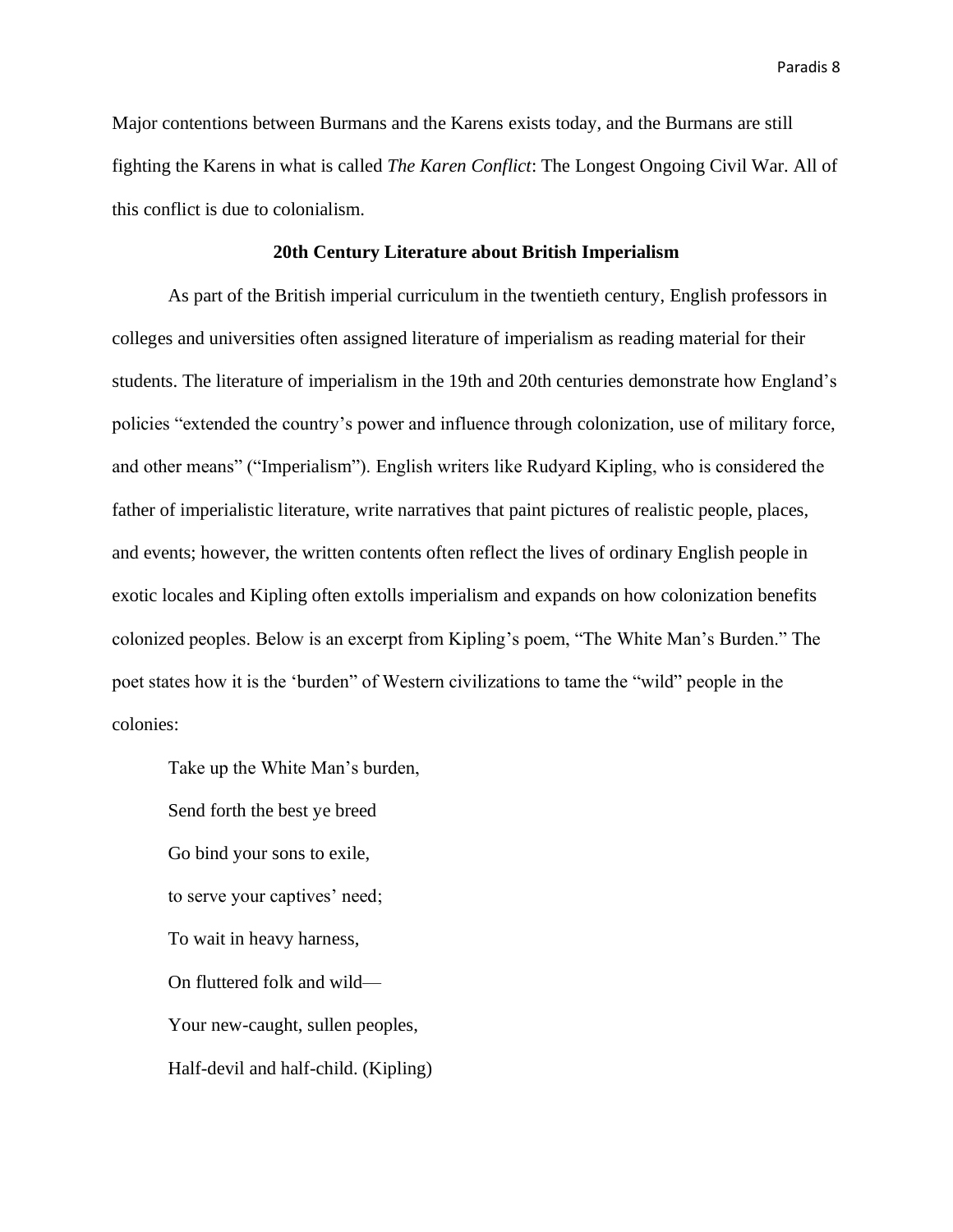Major contentions between Burmans and the Karens exists today, and the Burmans are still fighting the Karens in what is called *The Karen Conflict*: The Longest Ongoing Civil War. All of this conflict is due to colonialism.

# **20th Century Literature about British Imperialism**

As part of the British imperial curriculum in the twentieth century, English professors in colleges and universities often assigned literature of imperialism as reading material for their students. The literature of imperialism in the 19th and 20th centuries demonstrate how England's policies "extended the country's power and influence through colonization, use of military force, and other means" ("Imperialism"). English writers like Rudyard Kipling, who is considered the father of imperialistic literature, write narratives that paint pictures of realistic people, places, and events; however, the written contents often reflect the lives of ordinary English people in exotic locales and Kipling often extolls imperialism and expands on how colonization benefits colonized peoples. Below is an excerpt from Kipling's poem, "The White Man's Burden." The poet states how it is the 'burden" of Western civilizations to tame the "wild" people in the colonies:

Take up the White Man's burden,

Send forth the best ye breed Go bind your sons to exile, to serve your captives' need; To wait in heavy harness, On fluttered folk and wild— Your new-caught, sullen peoples, Half-devil and half-child. (Kipling)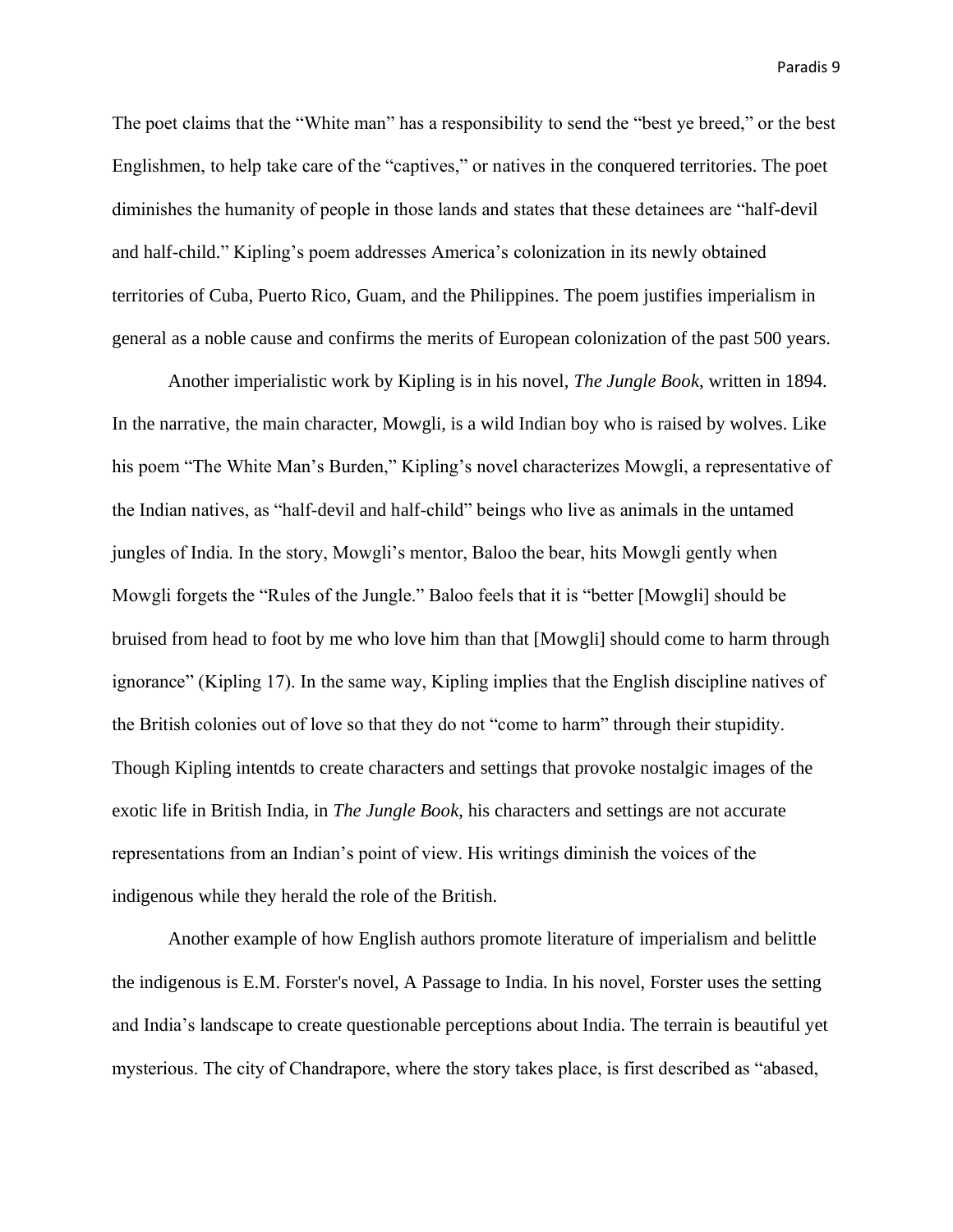The poet claims that the "White man" has a responsibility to send the "best ye breed," or the best Englishmen, to help take care of the "captives," or natives in the conquered territories. The poet diminishes the humanity of people in those lands and states that these detainees are "half-devil and half-child." Kipling's poem addresses America's colonization in its newly obtained territories of Cuba, Puerto Rico, Guam, and the Philippines. The poem justifies imperialism in general as a noble cause and confirms the merits of European colonization of the past 500 years.

Another imperialistic work by Kipling is in his novel, *The Jungle Book,* written in 1894. In the narrative, the main character, Mowgli, is a wild Indian boy who is raised by wolves. Like his poem "The White Man's Burden," Kipling's novel characterizes Mowgli, a representative of the Indian natives, as "half-devil and half-child" beings who live as animals in the untamed jungles of India. In the story, Mowgli's mentor, Baloo the bear, hits Mowgli gently when Mowgli forgets the "Rules of the Jungle." Baloo feels that it is "better [Mowgli] should be bruised from head to foot by me who love him than that [Mowgli] should come to harm through ignorance" (Kipling 17). In the same way, Kipling implies that the English discipline natives of the British colonies out of love so that they do not "come to harm" through their stupidity. Though Kipling intentds to create characters and settings that provoke nostalgic images of the exotic life in British India, in *The Jungle Book*, his characters and settings are not accurate representations from an Indian's point of view. His writings diminish the voices of the indigenous while they herald the role of the British.

Another example of how English authors promote literature of imperialism and belittle the indigenous is E.M. Forster's novel, A Passage to India. In his novel, Forster uses the setting and India's landscape to create questionable perceptions about India. The terrain is beautiful yet mysterious. The city of Chandrapore, where the story takes place, is first described as "abased,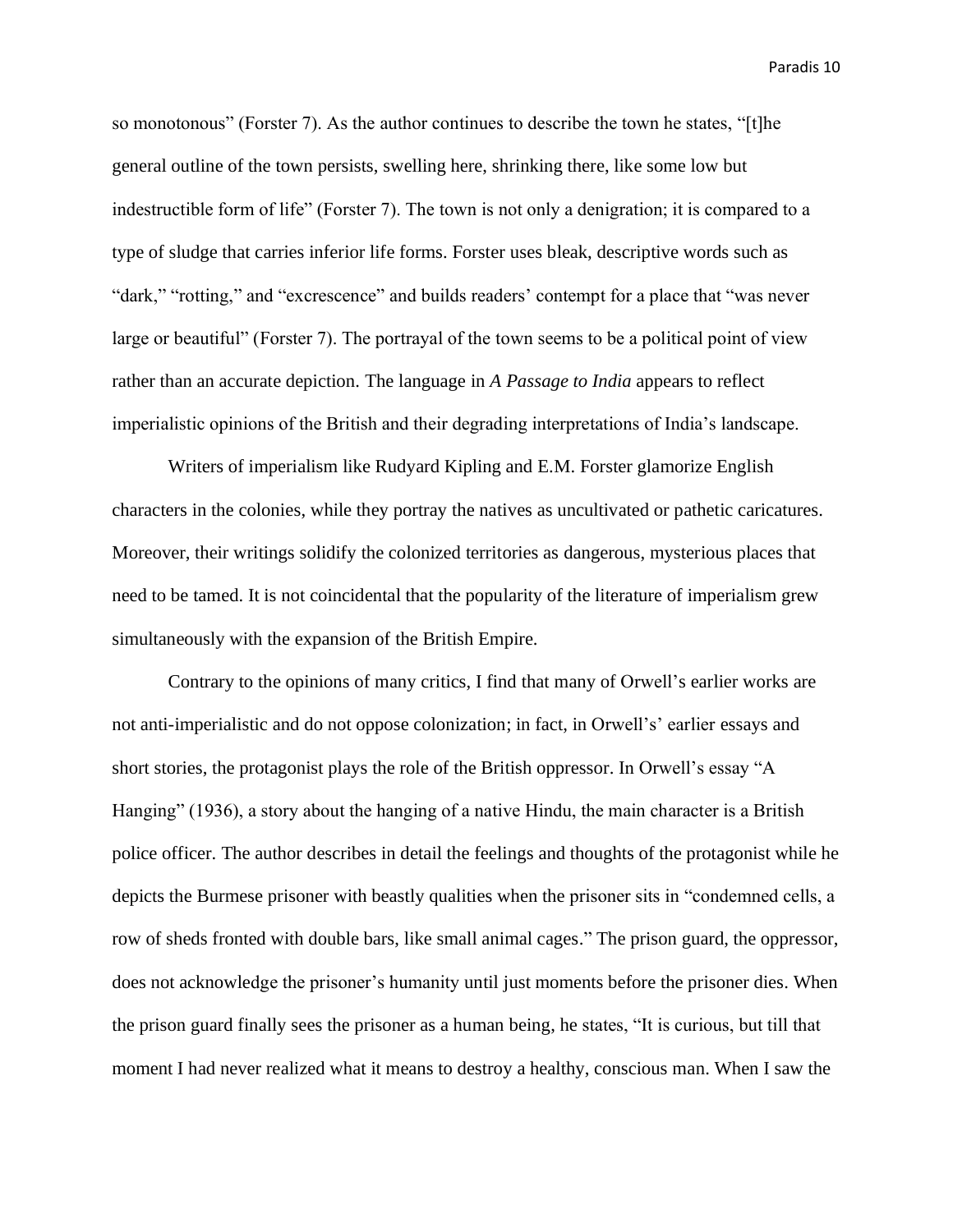so monotonous" (Forster 7). As the author continues to describe the town he states, "[t]he general outline of the town persists, swelling here, shrinking there, like some low but indestructible form of life" (Forster 7). The town is not only a denigration; it is compared to a type of sludge that carries inferior life forms. Forster uses bleak, descriptive words such as "dark," "rotting," and "excrescence" and builds readers' contempt for a place that "was never large or beautiful" (Forster 7). The portrayal of the town seems to be a political point of view rather than an accurate depiction. The language in *A Passage to India* appears to reflect imperialistic opinions of the British and their degrading interpretations of India's landscape.

Writers of imperialism like Rudyard Kipling and E.M. Forster glamorize English characters in the colonies, while they portray the natives as uncultivated or pathetic caricatures. Moreover, their writings solidify the colonized territories as dangerous, mysterious places that need to be tamed. It is not coincidental that the popularity of the literature of imperialism grew simultaneously with the expansion of the British Empire.

Contrary to the opinions of many critics, I find that many of Orwell's earlier works are not anti-imperialistic and do not oppose colonization; in fact, in Orwell's' earlier essays and short stories, the protagonist plays the role of the British oppressor. In Orwell's essay "A Hanging" (1936), a story about the hanging of a native Hindu, the main character is a British police officer. The author describes in detail the feelings and thoughts of the protagonist while he depicts the Burmese prisoner with beastly qualities when the prisoner sits in "condemned cells, a row of sheds fronted with double bars, like small animal cages." The prison guard, the oppressor, does not acknowledge the prisoner's humanity until just moments before the prisoner dies. When the prison guard finally sees the prisoner as a human being, he states, "It is curious, but till that moment I had never realized what it means to destroy a healthy, conscious man. When I saw the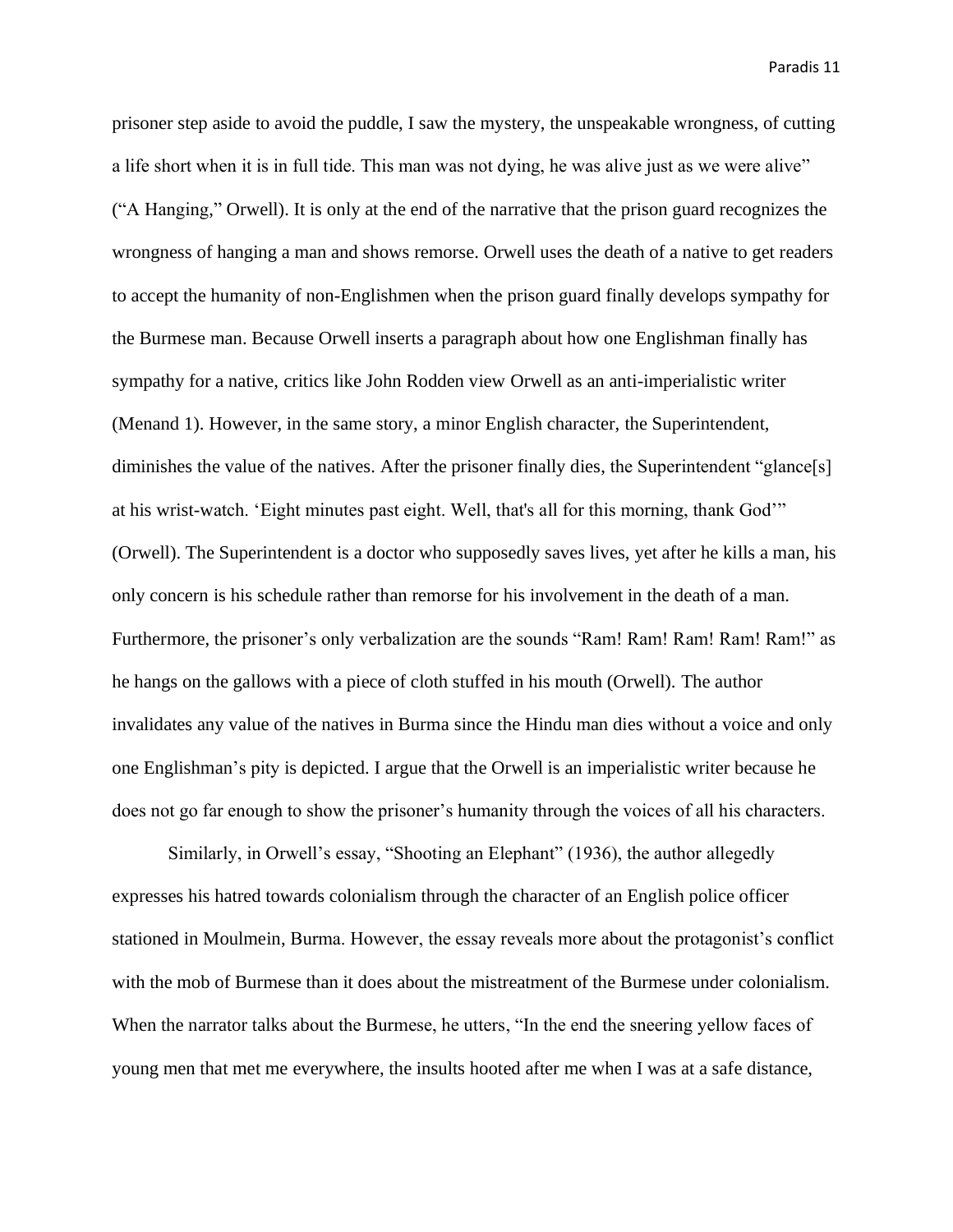prisoner step aside to avoid the puddle, I saw the mystery, the unspeakable wrongness, of cutting a life short when it is in full tide. This man was not dying, he was alive just as we were alive" ("A Hanging," Orwell). It is only at the end of the narrative that the prison guard recognizes the wrongness of hanging a man and shows remorse. Orwell uses the death of a native to get readers to accept the humanity of non-Englishmen when the prison guard finally develops sympathy for the Burmese man. Because Orwell inserts a paragraph about how one Englishman finally has sympathy for a native, critics like John Rodden view Orwell as an anti-imperialistic writer (Menand 1). However, in the same story, a minor English character, the Superintendent, diminishes the value of the natives. After the prisoner finally dies, the Superintendent "glance[s] at his wrist-watch. 'Eight minutes past eight. Well, that's all for this morning, thank God'" (Orwell). The Superintendent is a doctor who supposedly saves lives, yet after he kills a man, his only concern is his schedule rather than remorse for his involvement in the death of a man. Furthermore, the prisoner's only verbalization are the sounds "Ram! Ram! Ram! Ram! Ram!" as he hangs on the gallows with a piece of cloth stuffed in his mouth (Orwell). The author invalidates any value of the natives in Burma since the Hindu man dies without a voice and only one Englishman's pity is depicted. I argue that the Orwell is an imperialistic writer because he does not go far enough to show the prisoner's humanity through the voices of all his characters.

Similarly, in Orwell's essay, "Shooting an Elephant" (1936), the author allegedly expresses his hatred towards colonialism through the character of an English police officer stationed in Moulmein, Burma. However, the essay reveals more about the protagonist's conflict with the mob of Burmese than it does about the mistreatment of the Burmese under colonialism. When the narrator talks about the Burmese, he utters, "In the end the sneering yellow faces of young men that met me everywhere, the insults hooted after me when I was at a safe distance,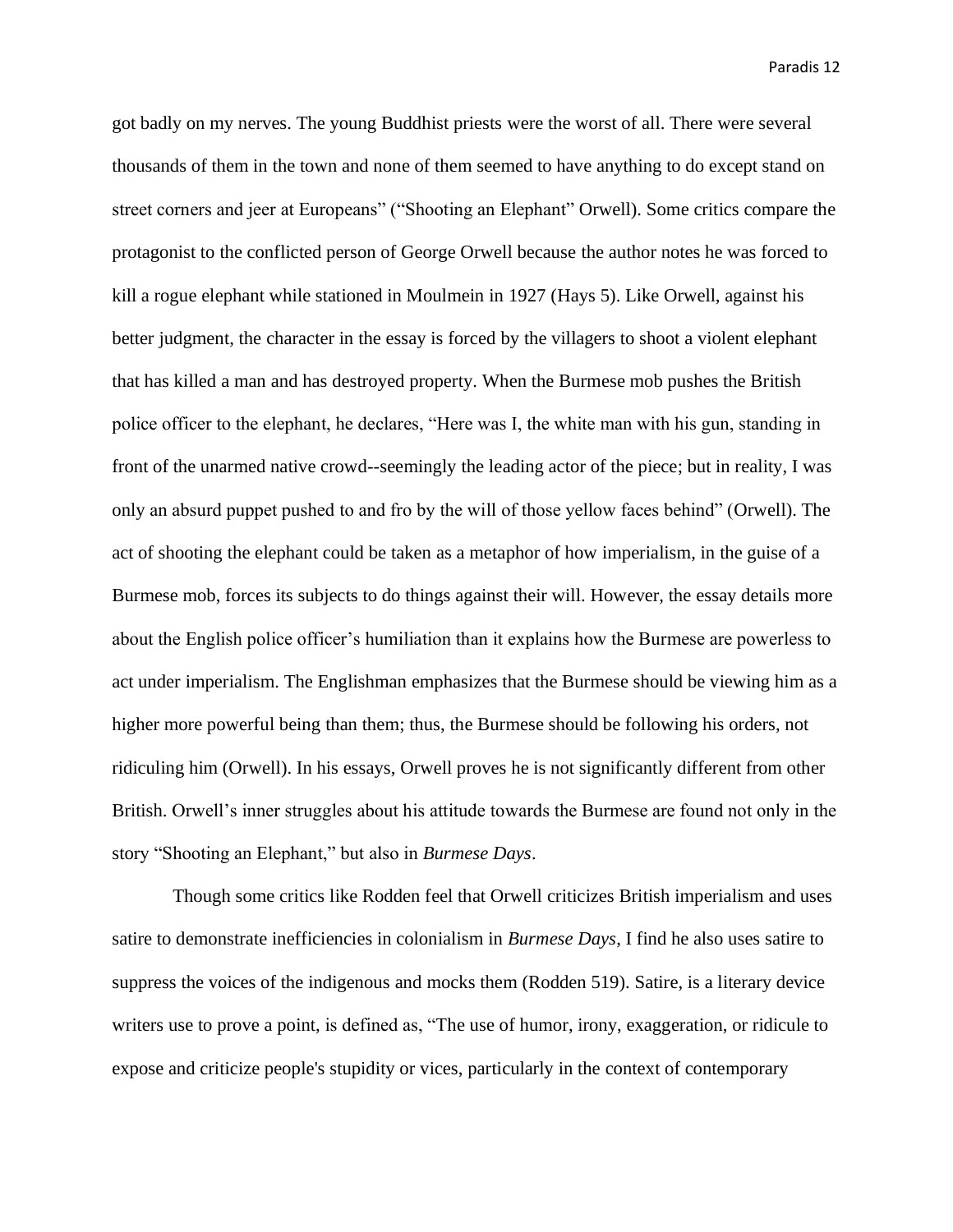got badly on my nerves. The young Buddhist priests were the worst of all. There were several thousands of them in the town and none of them seemed to have anything to do except stand on street corners and jeer at Europeans" ("Shooting an Elephant" Orwell). Some critics compare the protagonist to the conflicted person of George Orwell because the author notes he was forced to kill a rogue elephant while stationed in Moulmein in 1927 (Hays 5). Like Orwell, against his better judgment, the character in the essay is forced by the villagers to shoot a violent elephant that has killed a man and has destroyed property. When the Burmese mob pushes the British police officer to the elephant, he declares, "Here was I, the white man with his gun, standing in front of the unarmed native crowd--seemingly the leading actor of the piece; but in reality, I was only an absurd puppet pushed to and fro by the will of those yellow faces behind" (Orwell). The act of shooting the elephant could be taken as a metaphor of how imperialism, in the guise of a Burmese mob, forces its subjects to do things against their will. However, the essay details more about the English police officer's humiliation than it explains how the Burmese are powerless to act under imperialism. The Englishman emphasizes that the Burmese should be viewing him as a higher more powerful being than them; thus, the Burmese should be following his orders, not ridiculing him (Orwell). In his essays, Orwell proves he is not significantly different from other British. Orwell's inner struggles about his attitude towards the Burmese are found not only in the story "Shooting an Elephant," but also in *Burmese Days*.

Though some critics like Rodden feel that Orwell criticizes British imperialism and uses satire to demonstrate inefficiencies in colonialism in *Burmese Days*, I find he also uses satire to suppress the voices of the indigenous and mocks them (Rodden 519). Satire, is a literary device writers use to prove a point, is defined as, "The use of humor, irony, exaggeration, or ridicule to expose and criticize people's stupidity or vices, particularly in the context of contemporary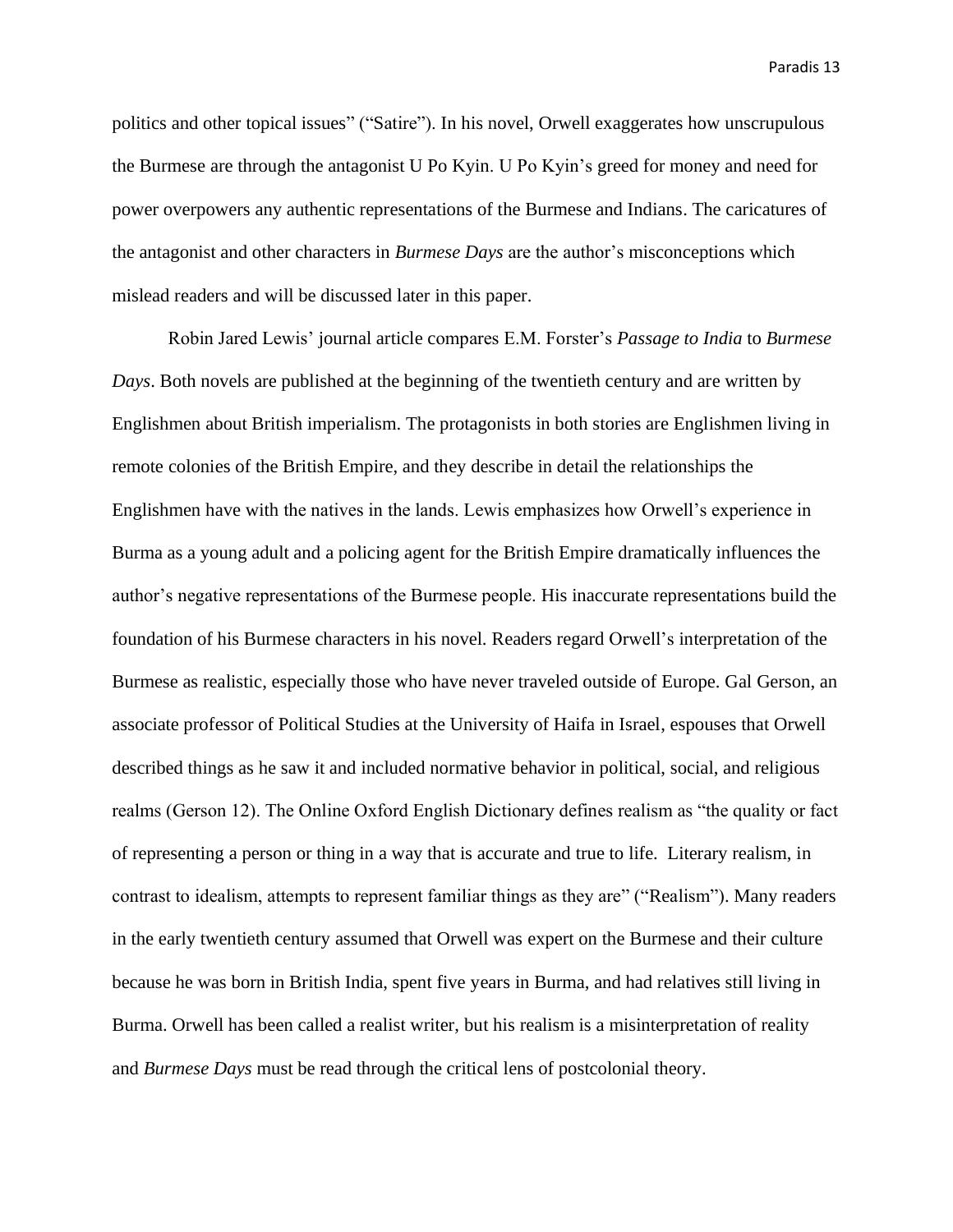politics and other topical issues" ("Satire"). In his novel, Orwell exaggerates how unscrupulous the Burmese are through the antagonist U Po Kyin. U Po Kyin's greed for money and need for power overpowers any authentic representations of the Burmese and Indians. The caricatures of the antagonist and other characters in *Burmese Days* are the author's misconceptions which mislead readers and will be discussed later in this paper.

Robin Jared Lewis' journal article compares E.M. Forster's *Passage to India* to *Burmese Days*. Both novels are published at the beginning of the twentieth century and are written by Englishmen about British imperialism. The protagonists in both stories are Englishmen living in remote colonies of the British Empire, and they describe in detail the relationships the Englishmen have with the natives in the lands. Lewis emphasizes how Orwell's experience in Burma as a young adult and a policing agent for the British Empire dramatically influences the author's negative representations of the Burmese people. His inaccurate representations build the foundation of his Burmese characters in his novel. Readers regard Orwell's interpretation of the Burmese as realistic, especially those who have never traveled outside of Europe. Gal Gerson, an associate professor of Political Studies at the University of Haifa in Israel, espouses that Orwell described things as he saw it and included normative behavior in political, social, and religious realms (Gerson 12). The Online Oxford English Dictionary defines realism as "the quality or fact of representing a person or thing in a way that is accurate and true to life. Literary realism, in contrast to idealism, attempts to represent familiar things as they are" ("Realism"). Many readers in the early twentieth century assumed that Orwell was expert on the Burmese and their culture because he was born in British India, spent five years in Burma, and had relatives still living in Burma. Orwell has been called a realist writer, but his realism is a misinterpretation of reality and *Burmese Days* must be read through the critical lens of postcolonial theory.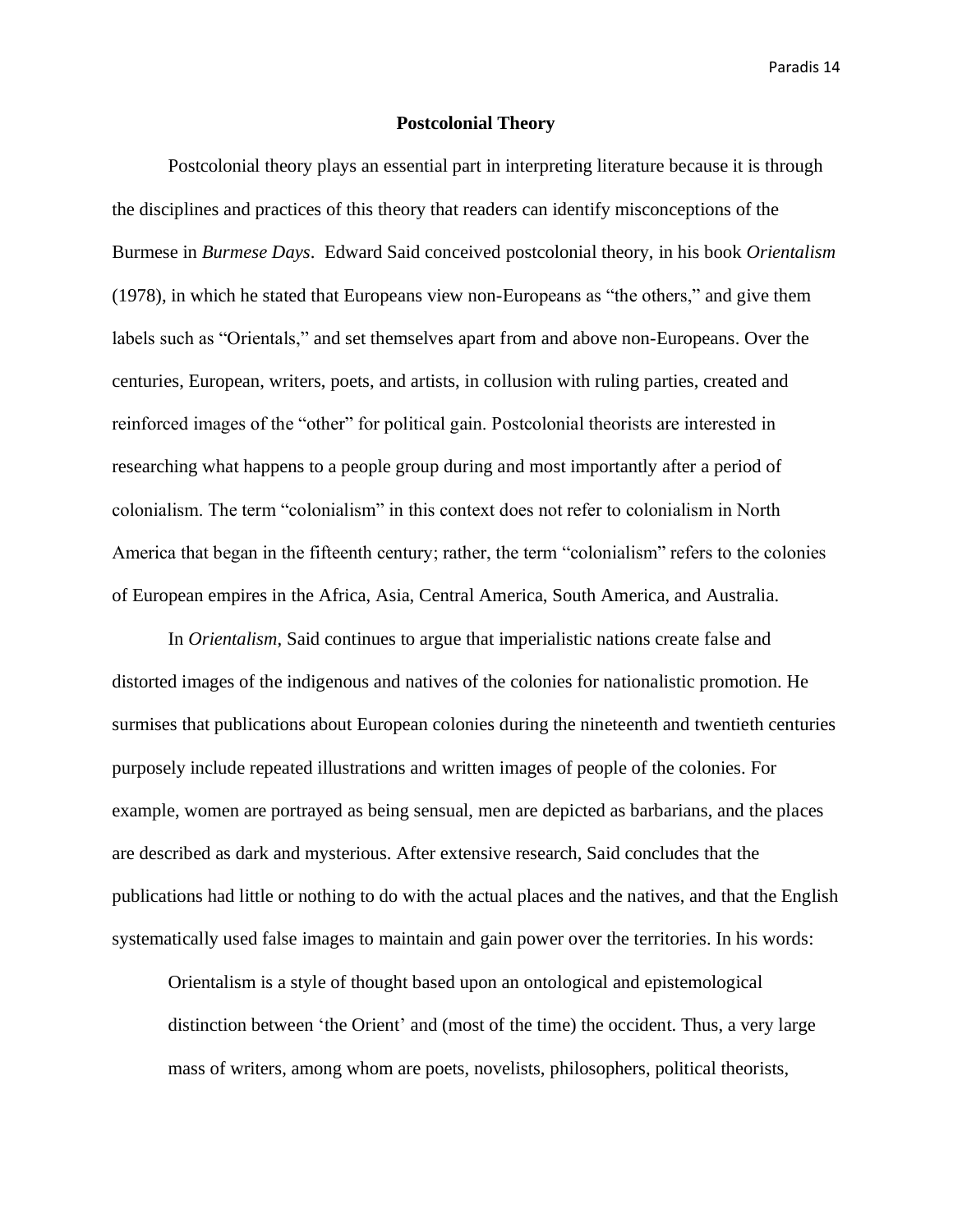# **Postcolonial Theory**

Postcolonial theory plays an essential part in interpreting literature because it is through the disciplines and practices of this theory that readers can identify misconceptions of the Burmese in *Burmese Days*. Edward Said conceived postcolonial theory, in his book *Orientalism* (1978), in which he stated that Europeans view non-Europeans as "the others," and give them labels such as "Orientals," and set themselves apart from and above non-Europeans. Over the centuries, European, writers, poets, and artists, in collusion with ruling parties, created and reinforced images of the "other" for political gain. Postcolonial theorists are interested in researching what happens to a people group during and most importantly after a period of colonialism. The term "colonialism" in this context does not refer to colonialism in North America that began in the fifteenth century; rather, the term "colonialism" refers to the colonies of European empires in the Africa, Asia, Central America, South America, and Australia.

In *Orientalism*, Said continues to argue that imperialistic nations create false and distorted images of the indigenous and natives of the colonies for nationalistic promotion. He surmises that publications about European colonies during the nineteenth and twentieth centuries purposely include repeated illustrations and written images of people of the colonies. For example, women are portrayed as being sensual, men are depicted as barbarians, and the places are described as dark and mysterious. After extensive research, Said concludes that the publications had little or nothing to do with the actual places and the natives, and that the English systematically used false images to maintain and gain power over the territories. In his words:

Orientalism is a style of thought based upon an ontological and epistemological distinction between 'the Orient' and (most of the time) the occident. Thus, a very large mass of writers, among whom are poets, novelists, philosophers, political theorists,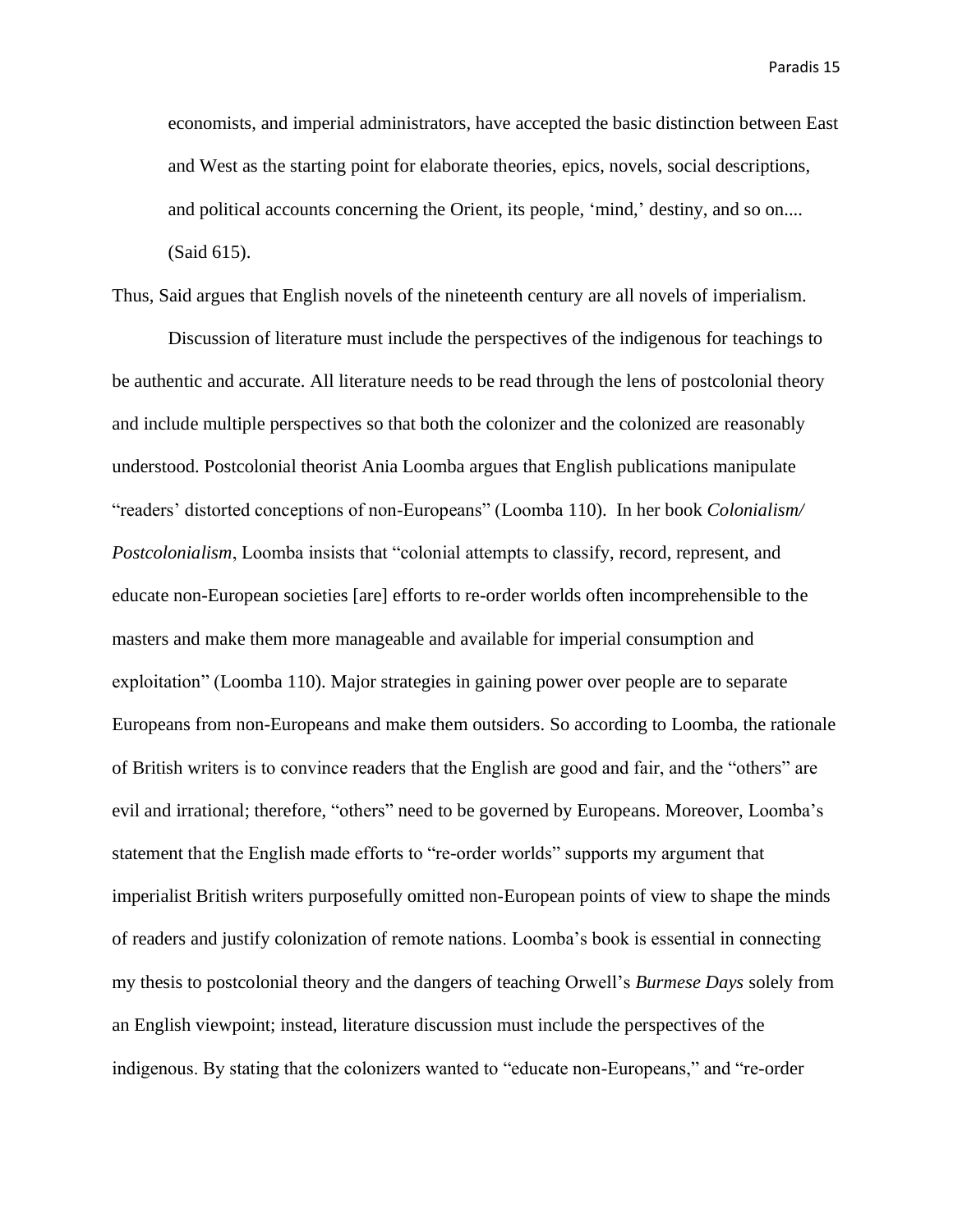economists, and imperial administrators, have accepted the basic distinction between East and West as the starting point for elaborate theories, epics, novels, social descriptions, and political accounts concerning the Orient, its people, 'mind,' destiny, and so on.... (Said 615).

Thus, Said argues that English novels of the nineteenth century are all novels of imperialism.

Discussion of literature must include the perspectives of the indigenous for teachings to be authentic and accurate. All literature needs to be read through the lens of postcolonial theory and include multiple perspectives so that both the colonizer and the colonized are reasonably understood. Postcolonial theorist Ania Loomba argues that English publications manipulate "readers' distorted conceptions of non-Europeans" (Loomba 110). In her book *Colonialism/ Postcolonialism*, Loomba insists that "colonial attempts to classify, record, represent, and educate non-European societies [are] efforts to re-order worlds often incomprehensible to the masters and make them more manageable and available for imperial consumption and exploitation" (Loomba 110). Major strategies in gaining power over people are to separate Europeans from non-Europeans and make them outsiders. So according to Loomba, the rationale of British writers is to convince readers that the English are good and fair, and the "others" are evil and irrational; therefore, "others" need to be governed by Europeans. Moreover, Loomba's statement that the English made efforts to "re-order worlds" supports my argument that imperialist British writers purposefully omitted non-European points of view to shape the minds of readers and justify colonization of remote nations. Loomba's book is essential in connecting my thesis to postcolonial theory and the dangers of teaching Orwell's *Burmese Days* solely from an English viewpoint; instead, literature discussion must include the perspectives of the indigenous. By stating that the colonizers wanted to "educate non-Europeans," and "re-order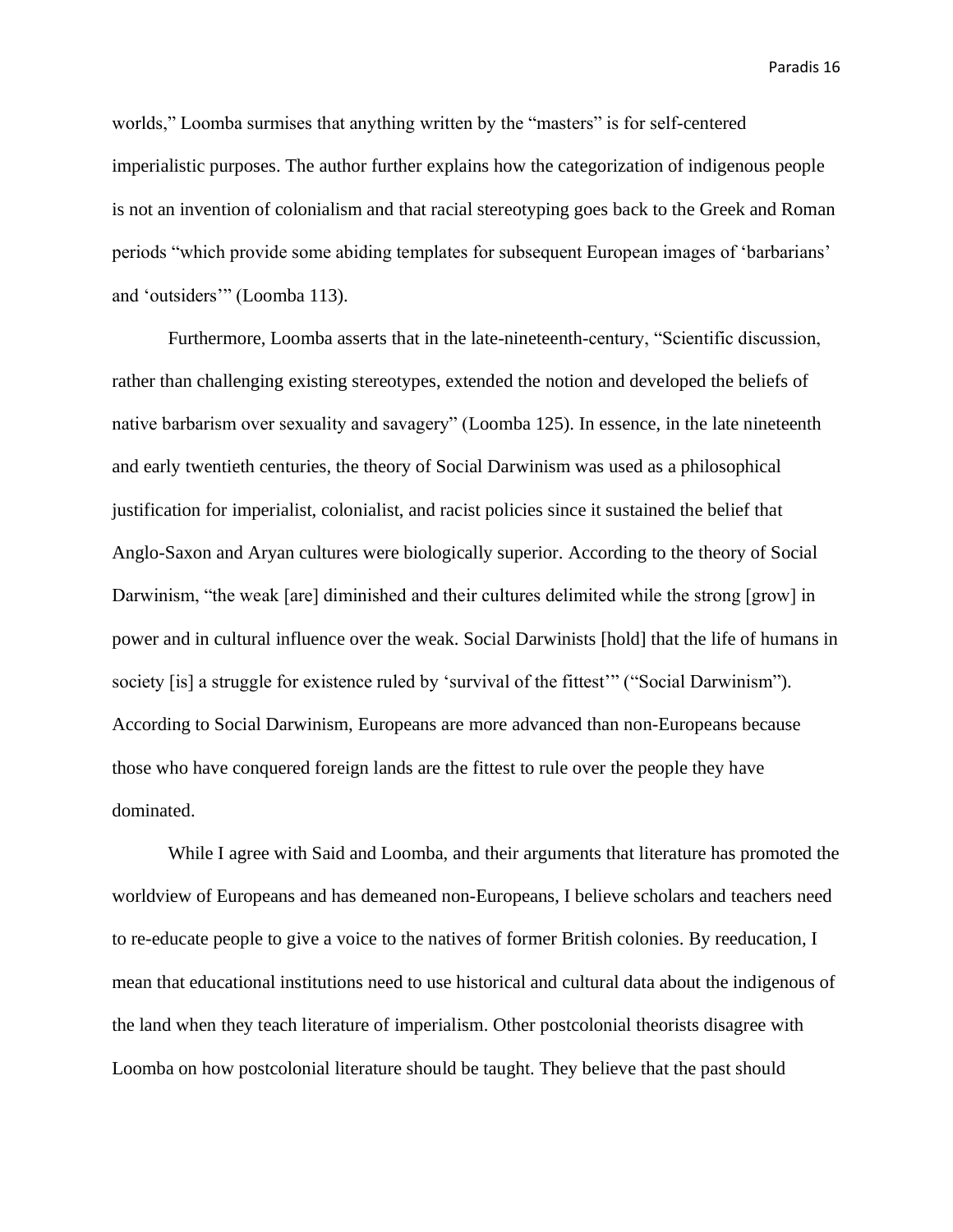worlds," Loomba surmises that anything written by the "masters" is for self-centered imperialistic purposes. The author further explains how the categorization of indigenous people is not an invention of colonialism and that racial stereotyping goes back to the Greek and Roman periods "which provide some abiding templates for subsequent European images of 'barbarians' and 'outsiders'" (Loomba 113).

Furthermore, Loomba asserts that in the late-nineteenth-century, "Scientific discussion, rather than challenging existing stereotypes, extended the notion and developed the beliefs of native barbarism over sexuality and savagery" (Loomba 125). In essence, in the late nineteenth and early twentieth centuries, the theory of Social Darwinism was used as a philosophical justification for imperialist, colonialist, and racist policies since it sustained the belief that Anglo-Saxon and Aryan cultures were biologically superior. According to the theory of Social Darwinism, "the weak [are] diminished and their cultures delimited while the strong [grow] in power and in cultural influence over the weak. Social Darwinists [hold] that the life of humans in society [is] a struggle for existence ruled by 'survival of the fittest'" ("Social Darwinism"). According to Social Darwinism, Europeans are more advanced than non-Europeans because those who have conquered foreign lands are the fittest to rule over the people they have dominated.

While I agree with Said and Loomba, and their arguments that literature has promoted the worldview of Europeans and has demeaned non-Europeans, I believe scholars and teachers need to re-educate people to give a voice to the natives of former British colonies. By reeducation, I mean that educational institutions need to use historical and cultural data about the indigenous of the land when they teach literature of imperialism. Other postcolonial theorists disagree with Loomba on how postcolonial literature should be taught. They believe that the past should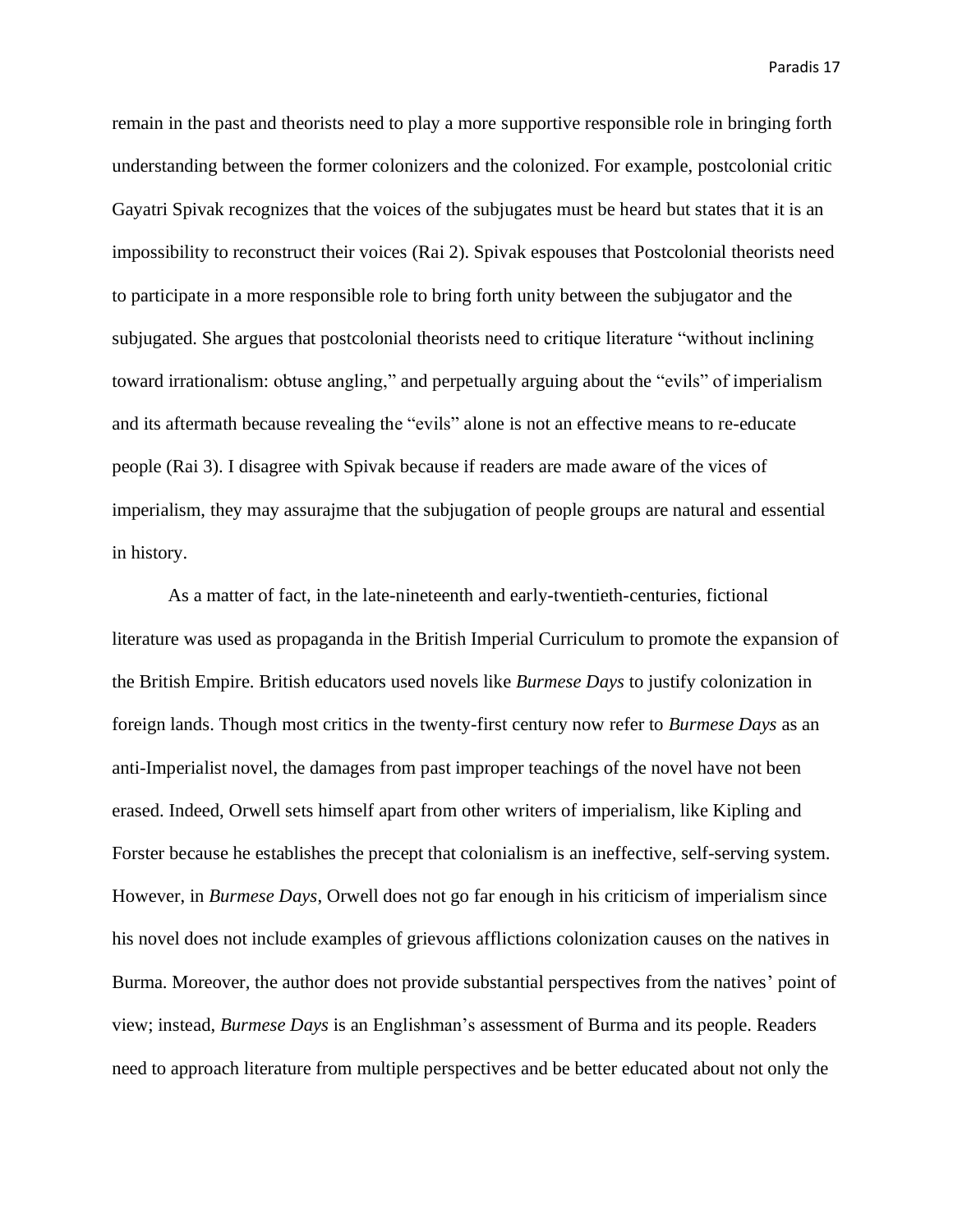remain in the past and theorists need to play a more supportive responsible role in bringing forth understanding between the former colonizers and the colonized. For example, postcolonial critic Gayatri Spivak recognizes that the voices of the subjugates must be heard but states that it is an impossibility to reconstruct their voices (Rai 2). Spivak espouses that Postcolonial theorists need to participate in a more responsible role to bring forth unity between the subjugator and the subjugated. She argues that postcolonial theorists need to critique literature "without inclining toward irrationalism: obtuse angling," and perpetually arguing about the "evils" of imperialism and its aftermath because revealing the "evils" alone is not an effective means to re-educate people (Rai 3). I disagree with Spivak because if readers are made aware of the vices of imperialism, they may assurajme that the subjugation of people groups are natural and essential in history.

As a matter of fact, in the late-nineteenth and early-twentieth-centuries, fictional literature was used as propaganda in the British Imperial Curriculum to promote the expansion of the British Empire. British educators used novels like *Burmese Days* to justify colonization in foreign lands. Though most critics in the twenty-first century now refer to *Burmese Days* as an anti-Imperialist novel, the damages from past improper teachings of the novel have not been erased. Indeed, Orwell sets himself apart from other writers of imperialism, like Kipling and Forster because he establishes the precept that colonialism is an ineffective, self-serving system. However, in *Burmese Days*, Orwell does not go far enough in his criticism of imperialism since his novel does not include examples of grievous afflictions colonization causes on the natives in Burma. Moreover, the author does not provide substantial perspectives from the natives' point of view; instead, *Burmese Days* is an Englishman's assessment of Burma and its people. Readers need to approach literature from multiple perspectives and be better educated about not only the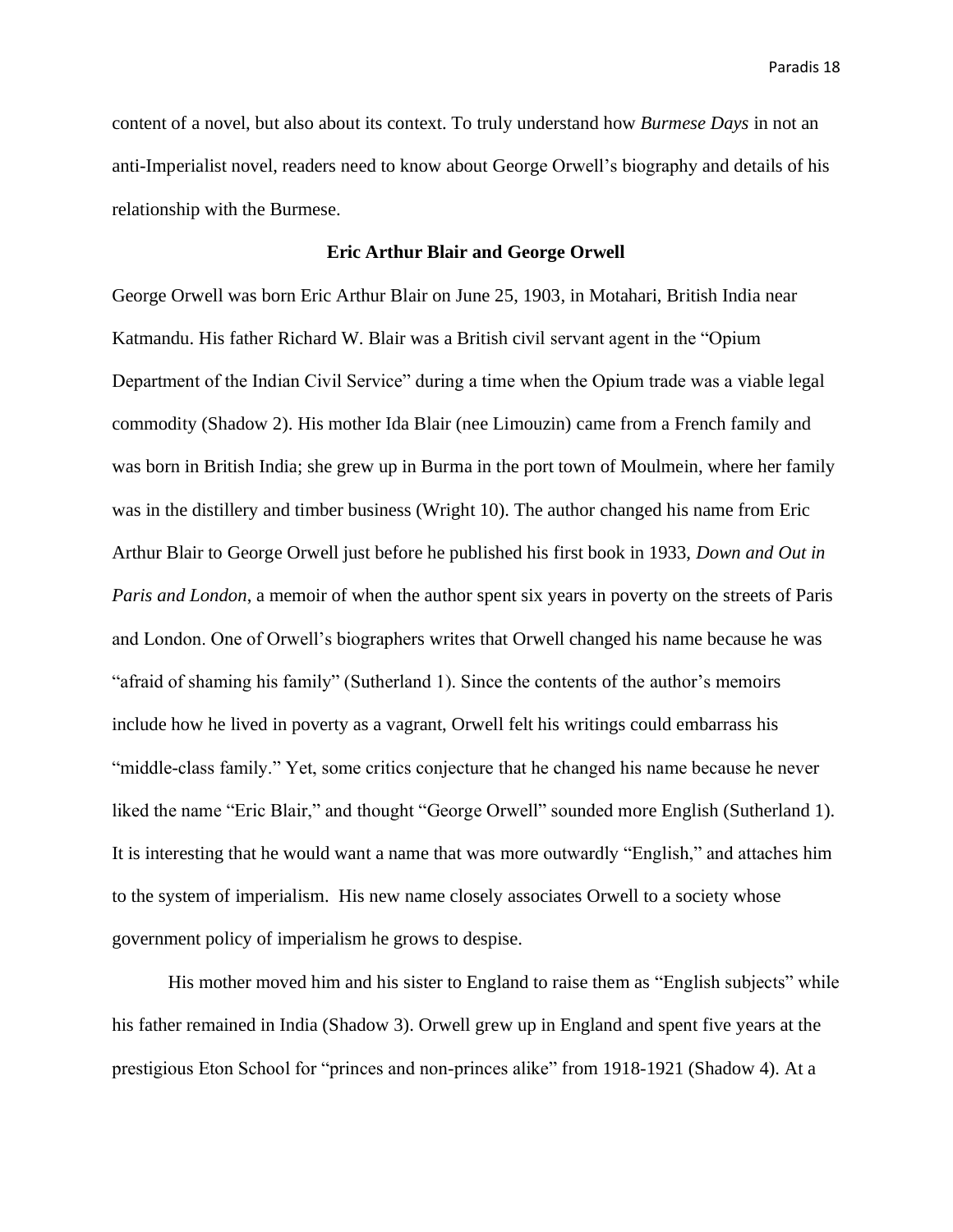content of a novel, but also about its context. To truly understand how *Burmese Days* in not an anti-Imperialist novel, readers need to know about George Orwell's biography and details of his relationship with the Burmese.

## **Eric Arthur Blair and George Orwell**

George Orwell was born Eric Arthur Blair on June 25, 1903, in Motahari, British India near Katmandu. His father Richard W. Blair was a British civil servant agent in the "Opium Department of the Indian Civil Service" during a time when the Opium trade was a viable legal commodity (Shadow 2). His mother Ida Blair (nee Limouzin) came from a French family and was born in British India; she grew up in Burma in the port town of Moulmein, where her family was in the distillery and timber business (Wright 10). The author changed his name from Eric Arthur Blair to George Orwell just before he published his first book in 1933, *Down and Out in Paris and London*, a memoir of when the author spent six years in poverty on the streets of Paris and London. One of Orwell's biographers writes that Orwell changed his name because he was "afraid of shaming his family" (Sutherland 1). Since the contents of the author's memoirs include how he lived in poverty as a vagrant, Orwell felt his writings could embarrass his "middle-class family." Yet, some critics conjecture that he changed his name because he never liked the name "Eric Blair," and thought "George Orwell" sounded more English (Sutherland 1). It is interesting that he would want a name that was more outwardly "English," and attaches him to the system of imperialism. His new name closely associates Orwell to a society whose government policy of imperialism he grows to despise.

His mother moved him and his sister to England to raise them as "English subjects" while his father remained in India (Shadow 3). Orwell grew up in England and spent five years at the prestigious Eton School for "princes and non-princes alike" from 1918-1921 (Shadow 4). At a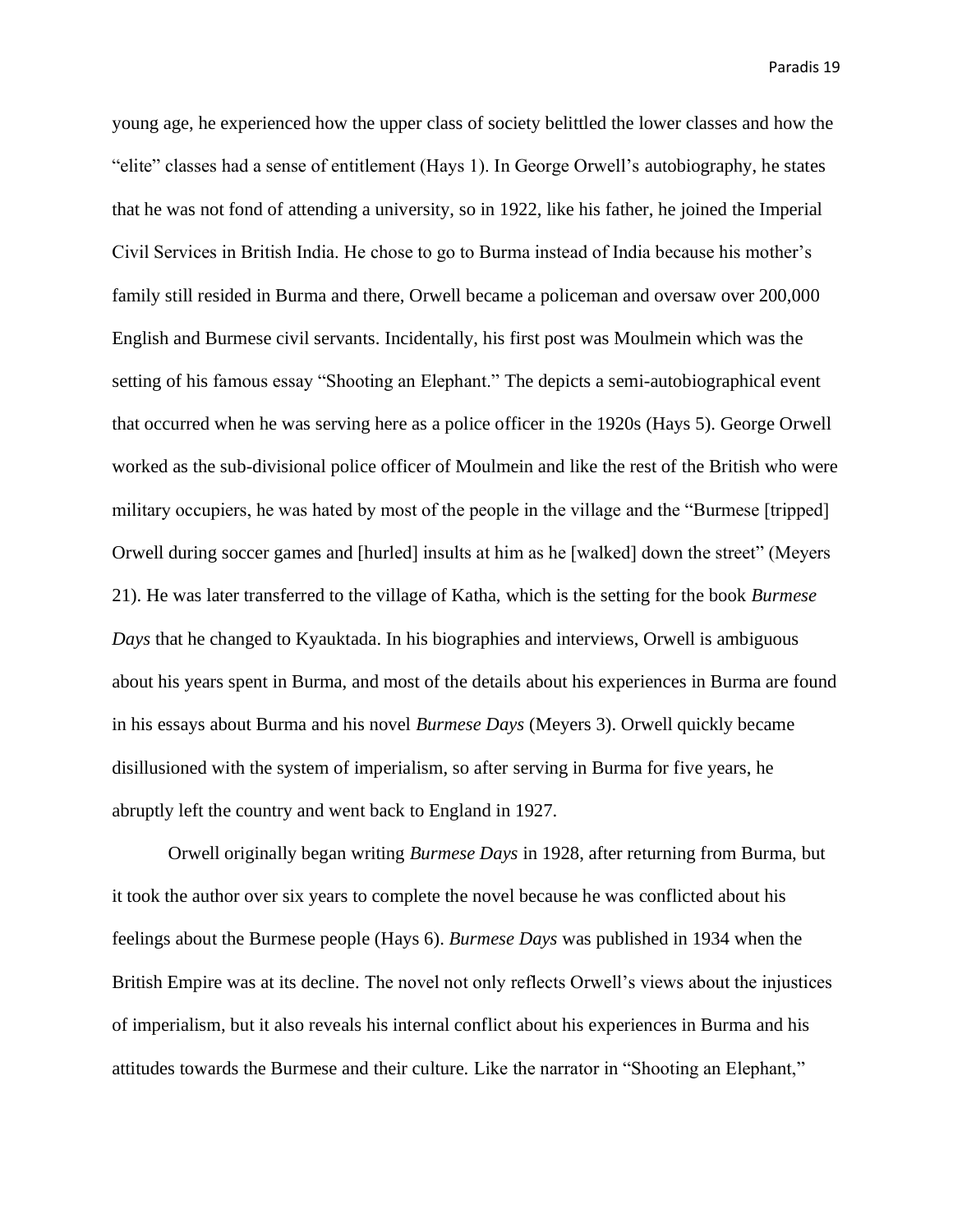young age, he experienced how the upper class of society belittled the lower classes and how the "elite" classes had a sense of entitlement (Hays 1). In George Orwell's autobiography, he states that he was not fond of attending a university, so in 1922, like his father, he joined the Imperial Civil Services in British India. He chose to go to Burma instead of India because his mother's family still resided in Burma and there, Orwell became a policeman and oversaw over 200,000 English and Burmese civil servants. Incidentally, his first post was Moulmein which was the setting of his famous essay "Shooting an Elephant." The depicts a semi-autobiographical event that occurred when he was serving here as a police officer in the 1920s (Hays 5). George Orwell worked as the sub-divisional police officer of Moulmein and like the rest of the British who were military occupiers, he was hated by most of the people in the village and the "Burmese [tripped] Orwell during soccer games and [hurled] insults at him as he [walked] down the street" (Meyers 21). He was later transferred to the village of Katha, which is the setting for the book *Burmese Days* that he changed to Kyauktada. In his biographies and interviews, Orwell is ambiguous about his years spent in Burma, and most of the details about his experiences in Burma are found in his essays about Burma and his novel *Burmese Days* (Meyers 3). Orwell quickly became disillusioned with the system of imperialism, so after serving in Burma for five years, he abruptly left the country and went back to England in 1927.

Orwell originally began writing *Burmese Days* in 1928, after returning from Burma, but it took the author over six years to complete the novel because he was conflicted about his feelings about the Burmese people (Hays 6). *Burmese Days* was published in 1934 when the British Empire was at its decline. The novel not only reflects Orwell's views about the injustices of imperialism, but it also reveals his internal conflict about his experiences in Burma and his attitudes towards the Burmese and their culture. Like the narrator in "Shooting an Elephant,"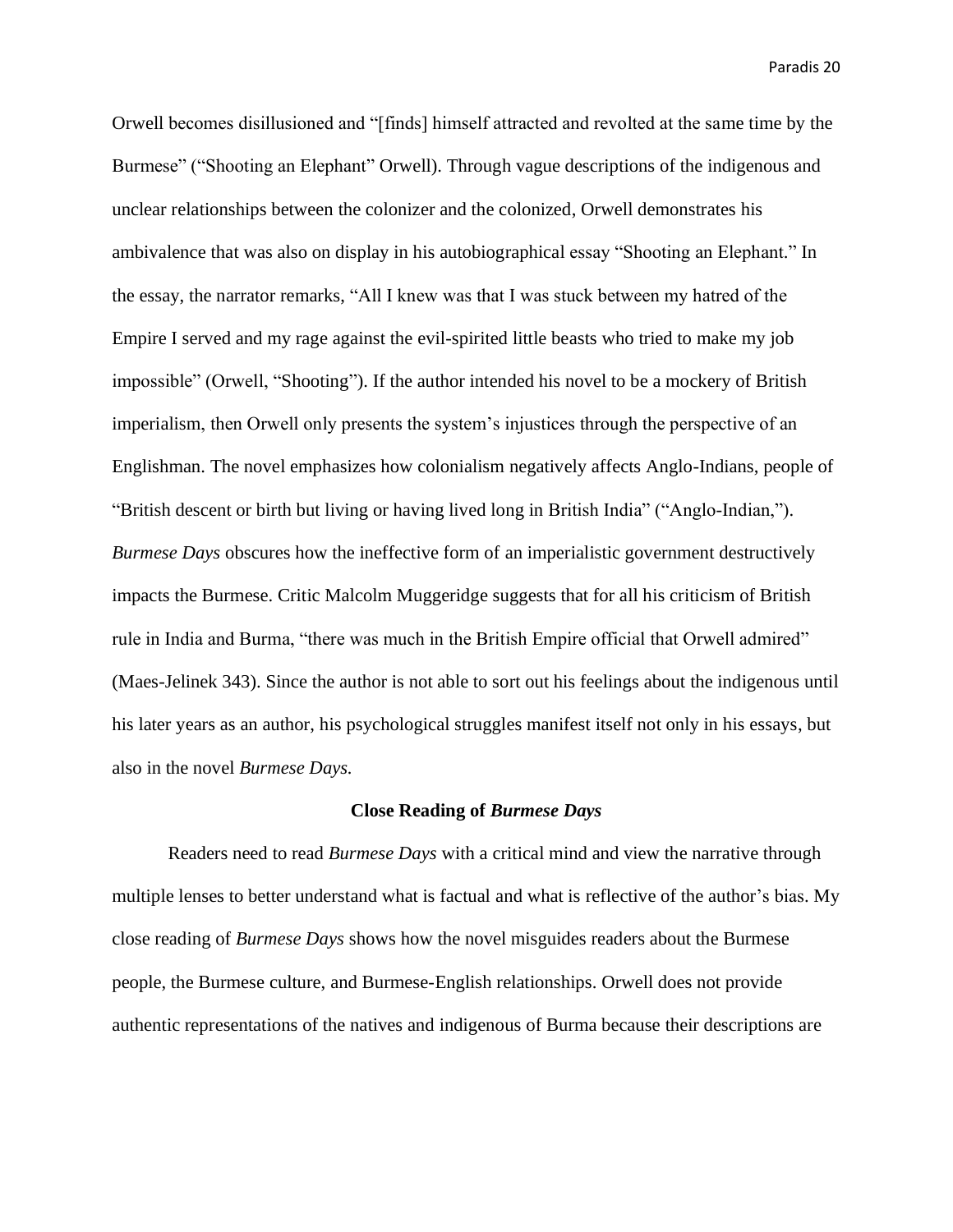Orwell becomes disillusioned and "[finds] himself attracted and revolted at the same time by the Burmese" ("Shooting an Elephant" Orwell). Through vague descriptions of the indigenous and unclear relationships between the colonizer and the colonized, Orwell demonstrates his ambivalence that was also on display in his autobiographical essay "Shooting an Elephant." In the essay, the narrator remarks, "All I knew was that I was stuck between my hatred of the Empire I served and my rage against the evil-spirited little beasts who tried to make my job impossible" (Orwell, "Shooting"). If the author intended his novel to be a mockery of British imperialism, then Orwell only presents the system's injustices through the perspective of an Englishman. The novel emphasizes how colonialism negatively affects Anglo-Indians, people of "British descent or birth but living or having lived long in British India" ("Anglo-Indian,"). *Burmese Days* obscures how the ineffective form of an imperialistic government destructively impacts the Burmese. Critic Malcolm Muggeridge suggests that for all his criticism of British rule in India and Burma, "there was much in the British Empire official that Orwell admired" (Maes-Jelinek 343). Since the author is not able to sort out his feelings about the indigenous until his later years as an author, his psychological struggles manifest itself not only in his essays, but also in the novel *Burmese Days.*

#### **Close Reading of** *Burmese Days*

Readers need to read *Burmese Days* with a critical mind and view the narrative through multiple lenses to better understand what is factual and what is reflective of the author's bias. My close reading of *Burmese Days* shows how the novel misguides readers about the Burmese people, the Burmese culture, and Burmese-English relationships. Orwell does not provide authentic representations of the natives and indigenous of Burma because their descriptions are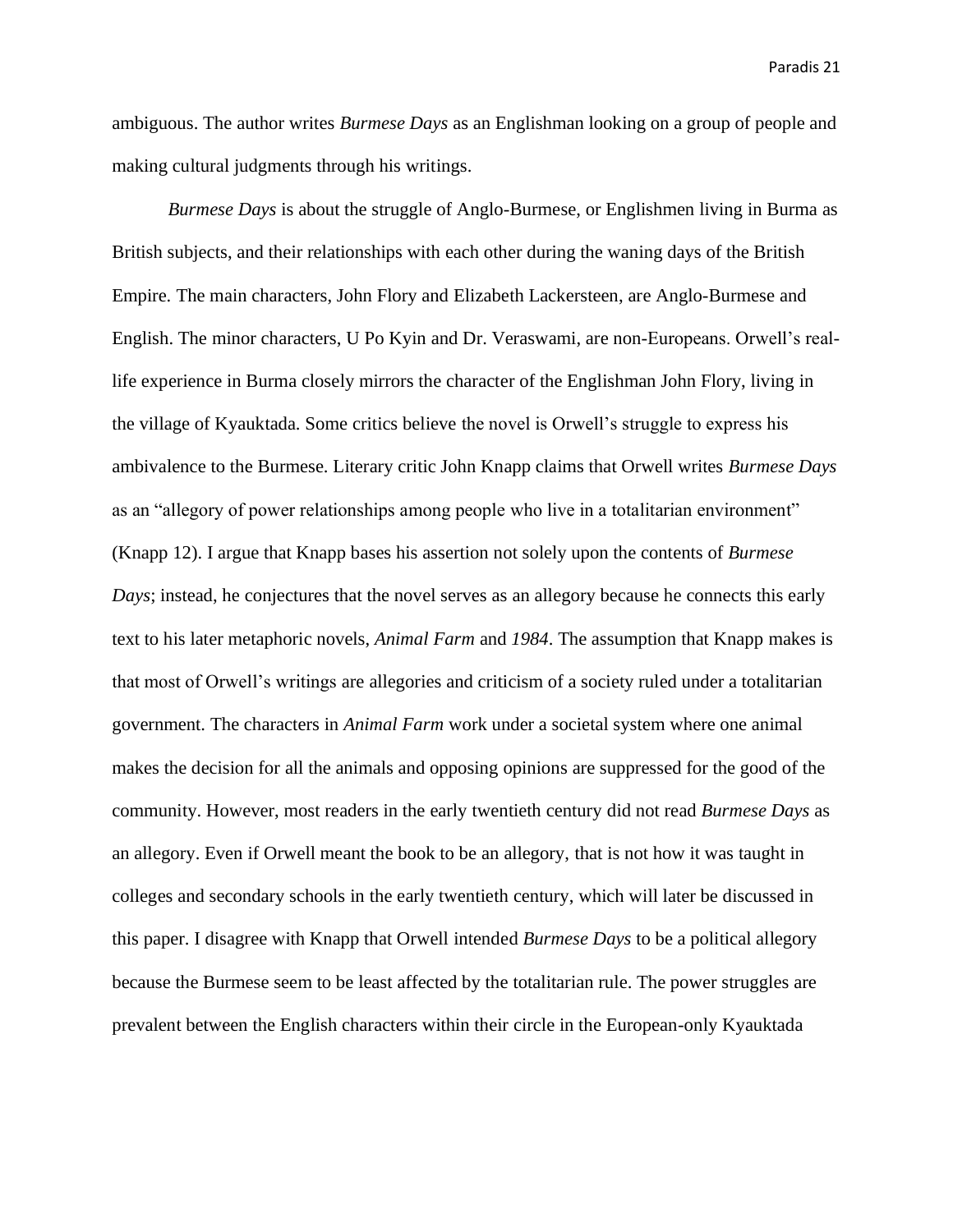ambiguous. The author writes *Burmese Days* as an Englishman looking on a group of people and making cultural judgments through his writings.

*Burmese Days* is about the struggle of Anglo-Burmese, or Englishmen living in Burma as British subjects, and their relationships with each other during the waning days of the British Empire. The main characters, John Flory and Elizabeth Lackersteen, are Anglo-Burmese and English. The minor characters, U Po Kyin and Dr. Veraswami, are non-Europeans. Orwell's reallife experience in Burma closely mirrors the character of the Englishman John Flory, living in the village of Kyauktada. Some critics believe the novel is Orwell's struggle to express his ambivalence to the Burmese. Literary critic John Knapp claims that Orwell writes *Burmese Days*  as an "allegory of power relationships among people who live in a totalitarian environment" (Knapp 12). I argue that Knapp bases his assertion not solely upon the contents of *Burmese Days*; instead, he conjectures that the novel serves as an allegory because he connects this early text to his later metaphoric novels, *Animal Farm* and *1984*. The assumption that Knapp makes is that most of Orwell's writings are allegories and criticism of a society ruled under a totalitarian government. The characters in *Animal Farm* work under a societal system where one animal makes the decision for all the animals and opposing opinions are suppressed for the good of the community. However, most readers in the early twentieth century did not read *Burmese Days* as an allegory. Even if Orwell meant the book to be an allegory, that is not how it was taught in colleges and secondary schools in the early twentieth century, which will later be discussed in this paper. I disagree with Knapp that Orwell intended *Burmese Days* to be a political allegory because the Burmese seem to be least affected by the totalitarian rule. The power struggles are prevalent between the English characters within their circle in the European-only Kyauktada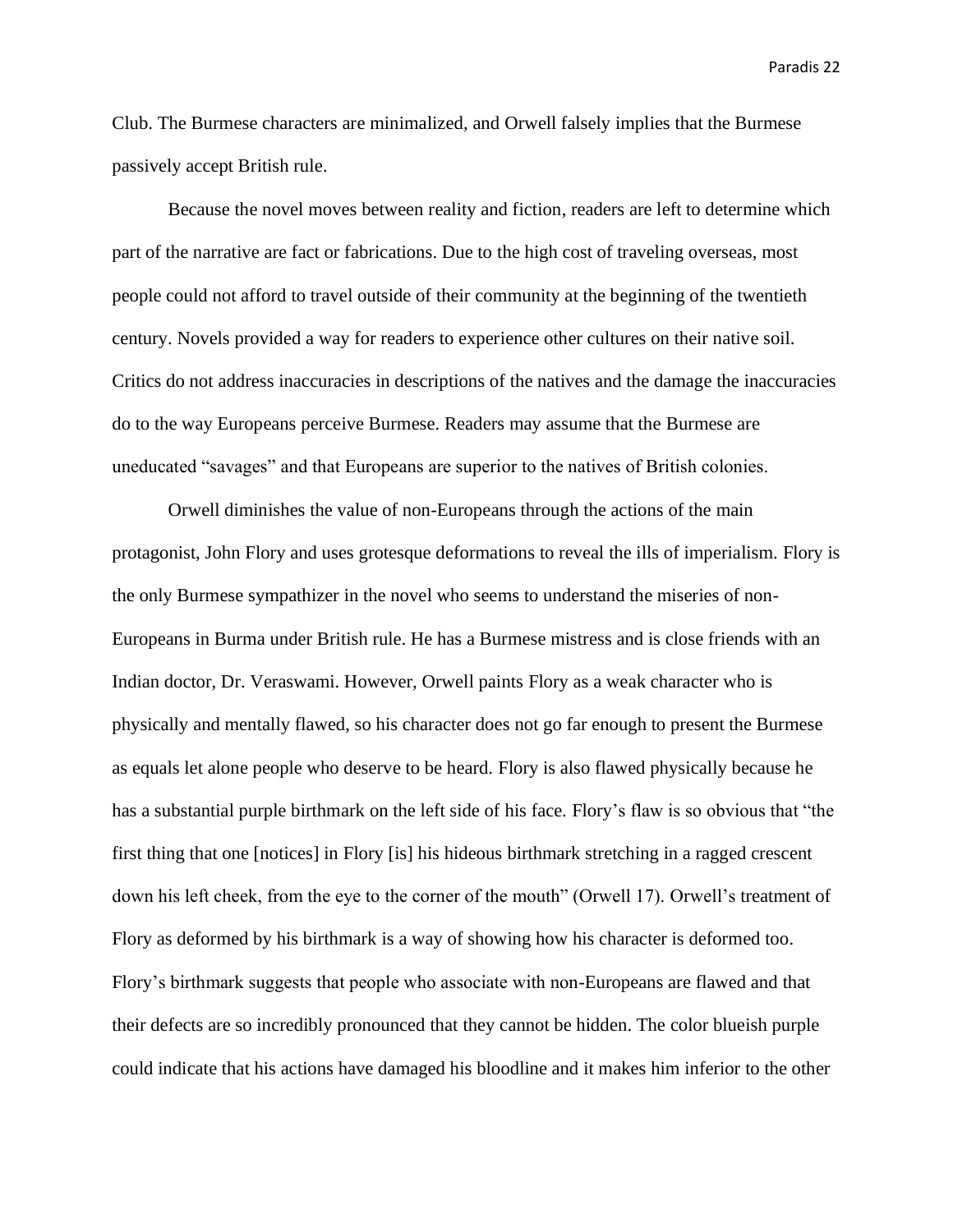Club. The Burmese characters are minimalized, and Orwell falsely implies that the Burmese passively accept British rule.

Because the novel moves between reality and fiction, readers are left to determine which part of the narrative are fact or fabrications. Due to the high cost of traveling overseas, most people could not afford to travel outside of their community at the beginning of the twentieth century. Novels provided a way for readers to experience other cultures on their native soil. Critics do not address inaccuracies in descriptions of the natives and the damage the inaccuracies do to the way Europeans perceive Burmese. Readers may assume that the Burmese are uneducated "savages" and that Europeans are superior to the natives of British colonies.

Orwell diminishes the value of non-Europeans through the actions of the main protagonist, John Flory and uses grotesque deformations to reveal the ills of imperialism. Flory is the only Burmese sympathizer in the novel who seems to understand the miseries of non-Europeans in Burma under British rule. He has a Burmese mistress and is close friends with an Indian doctor, Dr. Veraswami. However, Orwell paints Flory as a weak character who is physically and mentally flawed, so his character does not go far enough to present the Burmese as equals let alone people who deserve to be heard. Flory is also flawed physically because he has a substantial purple birthmark on the left side of his face. Flory's flaw is so obvious that "the first thing that one [notices] in Flory [is] his hideous birthmark stretching in a ragged crescent down his left cheek, from the eye to the corner of the mouth" (Orwell 17). Orwell's treatment of Flory as deformed by his birthmark is a way of showing how his character is deformed too. Flory's birthmark suggests that people who associate with non-Europeans are flawed and that their defects are so incredibly pronounced that they cannot be hidden. The color blueish purple could indicate that his actions have damaged his bloodline and it makes him inferior to the other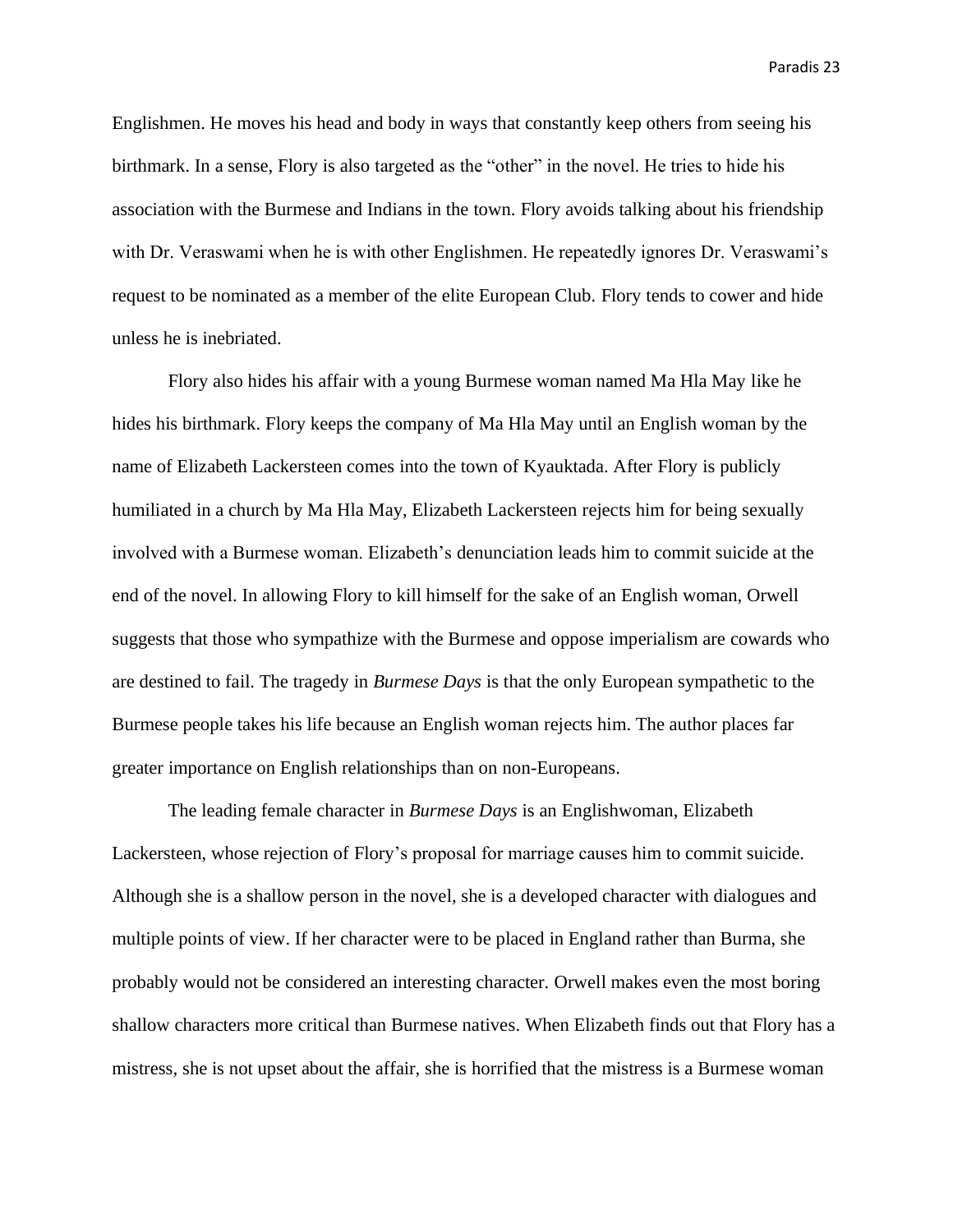Englishmen. He moves his head and body in ways that constantly keep others from seeing his birthmark. In a sense, Flory is also targeted as the "other" in the novel. He tries to hide his association with the Burmese and Indians in the town. Flory avoids talking about his friendship with Dr. Veraswami when he is with other Englishmen. He repeatedly ignores Dr. Veraswami's request to be nominated as a member of the elite European Club. Flory tends to cower and hide unless he is inebriated.

Flory also hides his affair with a young Burmese woman named Ma Hla May like he hides his birthmark. Flory keeps the company of Ma Hla May until an English woman by the name of Elizabeth Lackersteen comes into the town of Kyauktada. After Flory is publicly humiliated in a church by Ma Hla May, Elizabeth Lackersteen rejects him for being sexually involved with a Burmese woman. Elizabeth's denunciation leads him to commit suicide at the end of the novel. In allowing Flory to kill himself for the sake of an English woman, Orwell suggests that those who sympathize with the Burmese and oppose imperialism are cowards who are destined to fail. The tragedy in *Burmese Days* is that the only European sympathetic to the Burmese people takes his life because an English woman rejects him. The author places far greater importance on English relationships than on non-Europeans.

The leading female character in *Burmese Days* is an Englishwoman, Elizabeth Lackersteen, whose rejection of Flory's proposal for marriage causes him to commit suicide. Although she is a shallow person in the novel, she is a developed character with dialogues and multiple points of view. If her character were to be placed in England rather than Burma, she probably would not be considered an interesting character. Orwell makes even the most boring shallow characters more critical than Burmese natives. When Elizabeth finds out that Flory has a mistress, she is not upset about the affair, she is horrified that the mistress is a Burmese woman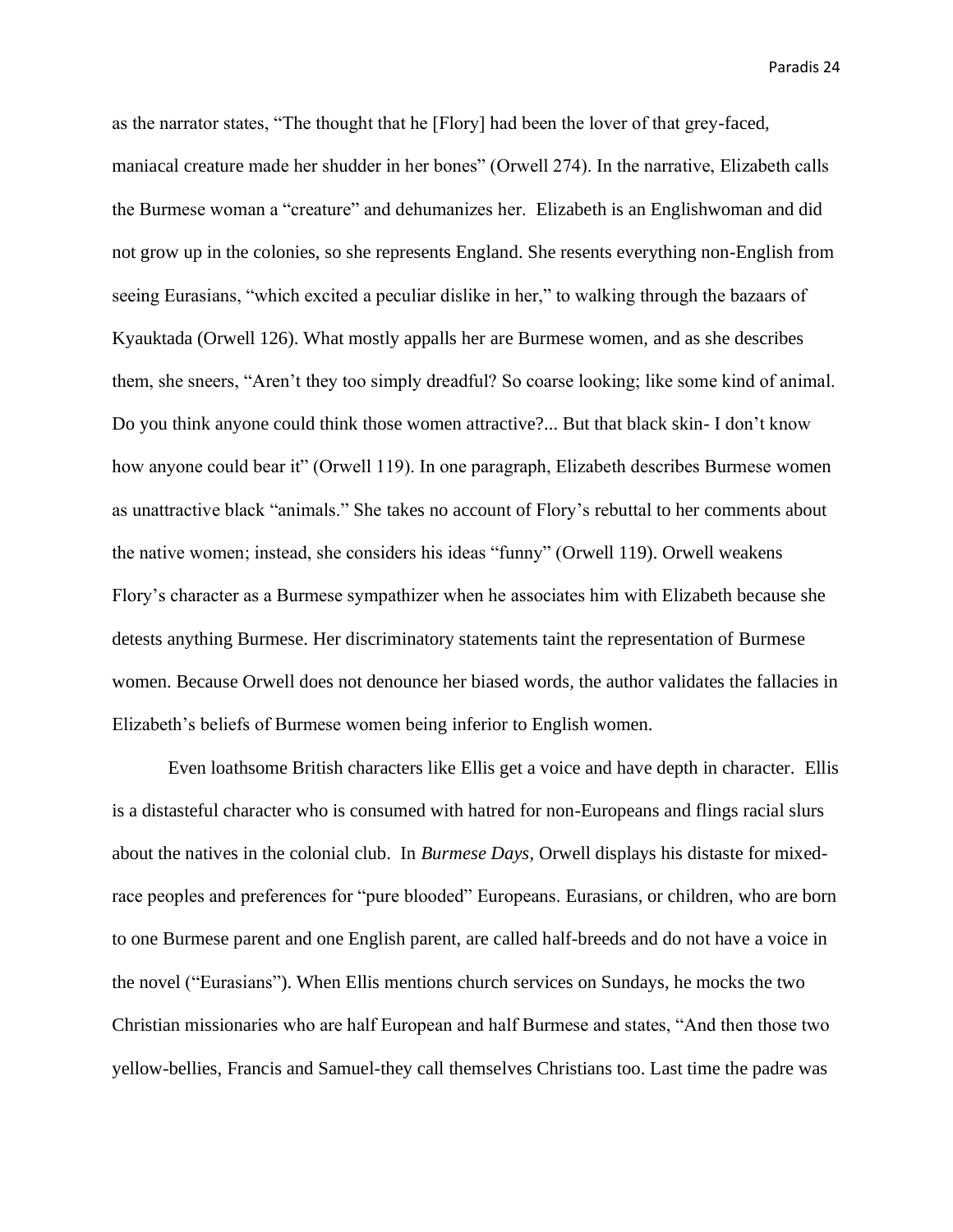as the narrator states, "The thought that he [Flory] had been the lover of that grey-faced, maniacal creature made her shudder in her bones" (Orwell 274). In the narrative, Elizabeth calls the Burmese woman a "creature" and dehumanizes her. Elizabeth is an Englishwoman and did not grow up in the colonies, so she represents England. She resents everything non-English from seeing Eurasians, "which excited a peculiar dislike in her," to walking through the bazaars of Kyauktada (Orwell 126). What mostly appalls her are Burmese women, and as she describes them, she sneers, "Aren't they too simply dreadful? So coarse looking; like some kind of animal. Do you think anyone could think those women attractive?... But that black skin- I don't know how anyone could bear it" (Orwell 119). In one paragraph, Elizabeth describes Burmese women as unattractive black "animals." She takes no account of Flory's rebuttal to her comments about the native women; instead, she considers his ideas "funny" (Orwell 119). Orwell weakens Flory's character as a Burmese sympathizer when he associates him with Elizabeth because she detests anything Burmese. Her discriminatory statements taint the representation of Burmese women. Because Orwell does not denounce her biased words, the author validates the fallacies in Elizabeth's beliefs of Burmese women being inferior to English women.

Even loathsome British characters like Ellis get a voice and have depth in character. Ellis is a distasteful character who is consumed with hatred for non-Europeans and flings racial slurs about the natives in the colonial club. In *Burmese Days*, Orwell displays his distaste for mixedrace peoples and preferences for "pure blooded" Europeans. Eurasians, or children, who are born to one Burmese parent and one English parent, are called half-breeds and do not have a voice in the novel ("Eurasians"). When Ellis mentions church services on Sundays, he mocks the two Christian missionaries who are half European and half Burmese and states, "And then those two yellow-bellies, Francis and Samuel-they call themselves Christians too. Last time the padre was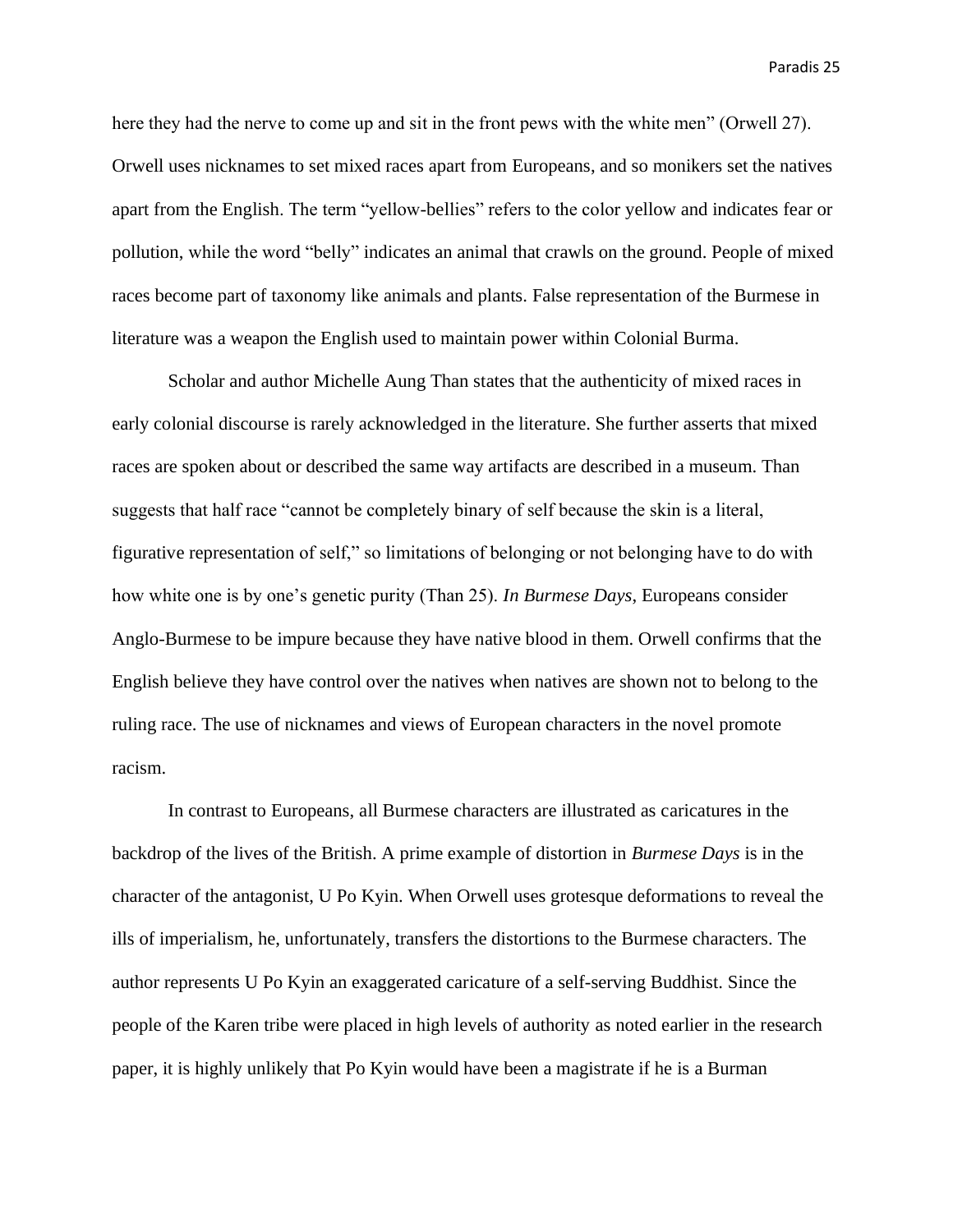here they had the nerve to come up and sit in the front pews with the white men" (Orwell 27). Orwell uses nicknames to set mixed races apart from Europeans, and so monikers set the natives apart from the English. The term "yellow-bellies" refers to the color yellow and indicates fear or pollution, while the word "belly" indicates an animal that crawls on the ground. People of mixed races become part of taxonomy like animals and plants. False representation of the Burmese in literature was a weapon the English used to maintain power within Colonial Burma.

Scholar and author Michelle Aung Than states that the authenticity of mixed races in early colonial discourse is rarely acknowledged in the literature. She further asserts that mixed races are spoken about or described the same way artifacts are described in a museum. Than suggests that half race "cannot be completely binary of self because the skin is a literal, figurative representation of self," so limitations of belonging or not belonging have to do with how white one is by one's genetic purity (Than 25). *In Burmese Days*, Europeans consider Anglo-Burmese to be impure because they have native blood in them. Orwell confirms that the English believe they have control over the natives when natives are shown not to belong to the ruling race. The use of nicknames and views of European characters in the novel promote racism.

In contrast to Europeans, all Burmese characters are illustrated as caricatures in the backdrop of the lives of the British. A prime example of distortion in *Burmese Days* is in the character of the antagonist, U Po Kyin. When Orwell uses grotesque deformations to reveal the ills of imperialism, he, unfortunately, transfers the distortions to the Burmese characters. The author represents U Po Kyin an exaggerated caricature of a self-serving Buddhist. Since the people of the Karen tribe were placed in high levels of authority as noted earlier in the research paper, it is highly unlikely that Po Kyin would have been a magistrate if he is a Burman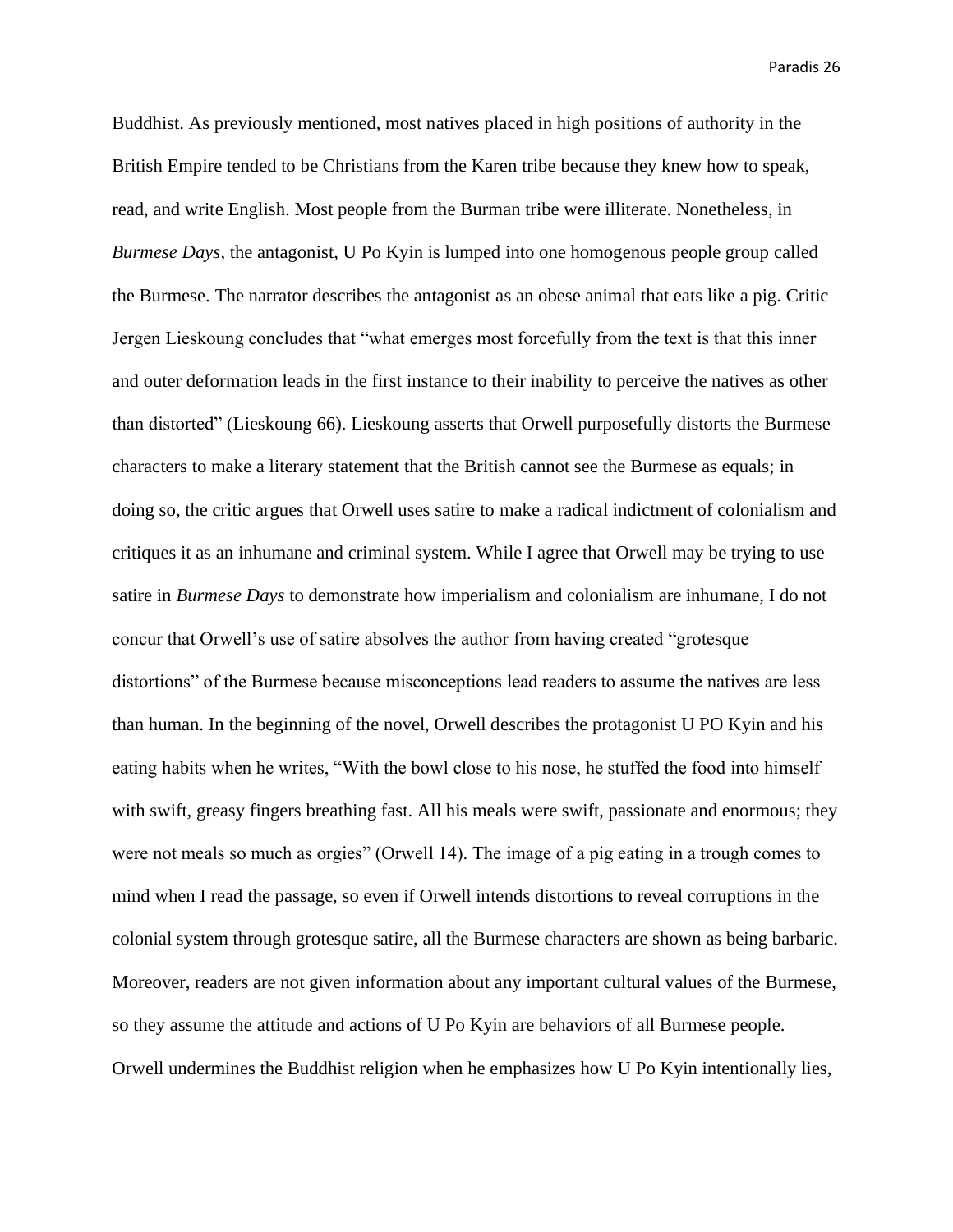Buddhist. As previously mentioned, most natives placed in high positions of authority in the British Empire tended to be Christians from the Karen tribe because they knew how to speak, read, and write English. Most people from the Burman tribe were illiterate. Nonetheless, in *Burmese Days*, the antagonist, U Po Kyin is lumped into one homogenous people group called the Burmese. The narrator describes the antagonist as an obese animal that eats like a pig. Critic Jergen Lieskoung concludes that "what emerges most forcefully from the text is that this inner and outer deformation leads in the first instance to their inability to perceive the natives as other than distorted" (Lieskoung 66). Lieskoung asserts that Orwell purposefully distorts the Burmese characters to make a literary statement that the British cannot see the Burmese as equals; in doing so, the critic argues that Orwell uses satire to make a radical indictment of colonialism and critiques it as an inhumane and criminal system. While I agree that Orwell may be trying to use satire in *Burmese Days* to demonstrate how imperialism and colonialism are inhumane, I do not concur that Orwell's use of satire absolves the author from having created "grotesque distortions" of the Burmese because misconceptions lead readers to assume the natives are less than human. In the beginning of the novel, Orwell describes the protagonist U PO Kyin and his eating habits when he writes, "With the bowl close to his nose, he stuffed the food into himself with swift, greasy fingers breathing fast. All his meals were swift, passionate and enormous; they were not meals so much as orgies" (Orwell 14). The image of a pig eating in a trough comes to mind when I read the passage, so even if Orwell intends distortions to reveal corruptions in the colonial system through grotesque satire, all the Burmese characters are shown as being barbaric. Moreover, readers are not given information about any important cultural values of the Burmese, so they assume the attitude and actions of U Po Kyin are behaviors of all Burmese people. Orwell undermines the Buddhist religion when he emphasizes how U Po Kyin intentionally lies,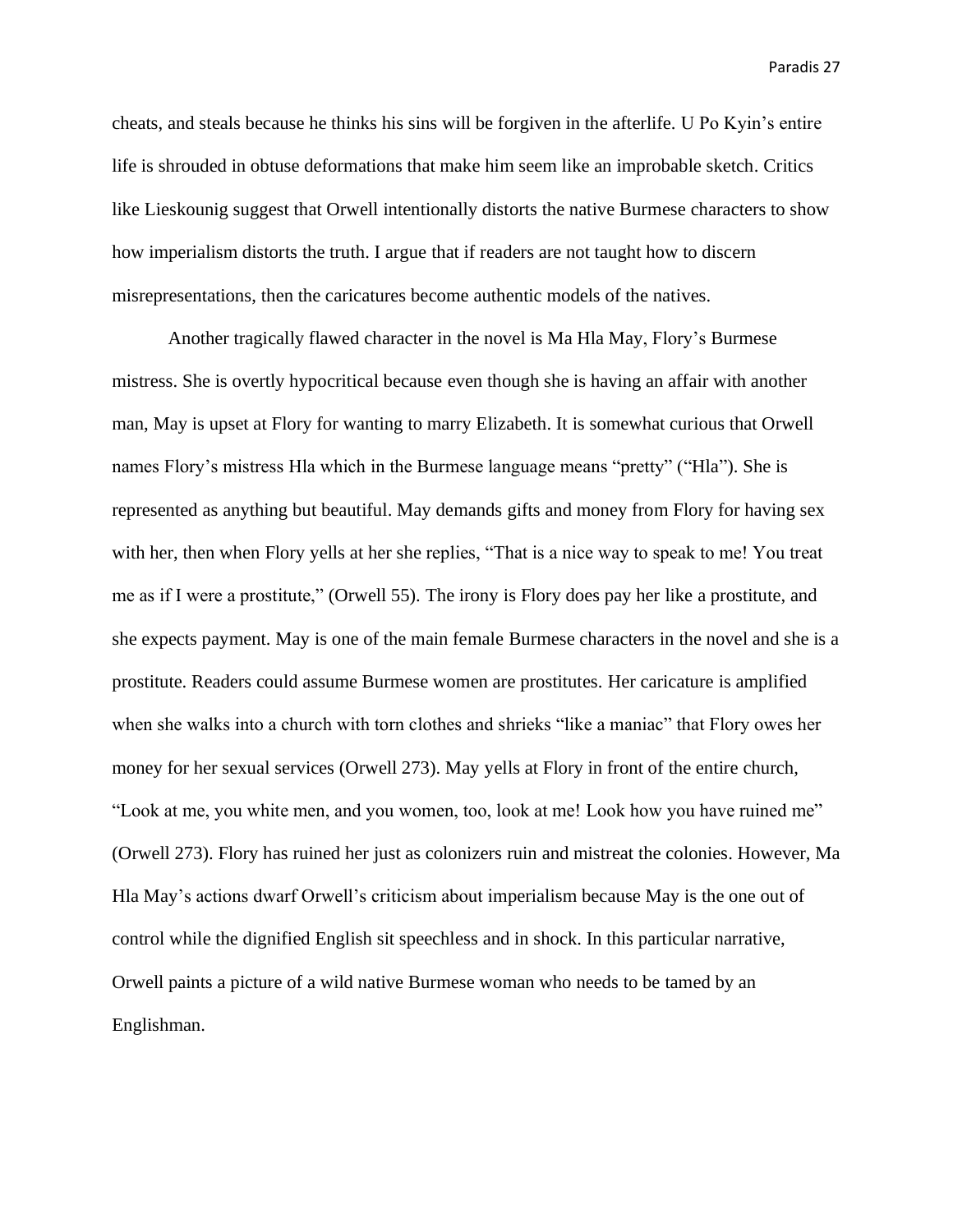cheats, and steals because he thinks his sins will be forgiven in the afterlife. U Po Kyin's entire life is shrouded in obtuse deformations that make him seem like an improbable sketch. Critics like Lieskounig suggest that Orwell intentionally distorts the native Burmese characters to show how imperialism distorts the truth. I argue that if readers are not taught how to discern misrepresentations, then the caricatures become authentic models of the natives.

Another tragically flawed character in the novel is Ma Hla May, Flory's Burmese mistress. She is overtly hypocritical because even though she is having an affair with another man, May is upset at Flory for wanting to marry Elizabeth. It is somewhat curious that Orwell names Flory's mistress Hla which in the Burmese language means "pretty" ("Hla"). She is represented as anything but beautiful. May demands gifts and money from Flory for having sex with her, then when Flory yells at her she replies, "That is a nice way to speak to me! You treat me as if I were a prostitute," (Orwell 55). The irony is Flory does pay her like a prostitute, and she expects payment. May is one of the main female Burmese characters in the novel and she is a prostitute. Readers could assume Burmese women are prostitutes. Her caricature is amplified when she walks into a church with torn clothes and shrieks "like a maniac" that Flory owes her money for her sexual services (Orwell 273). May yells at Flory in front of the entire church, "Look at me, you white men, and you women, too, look at me! Look how you have ruined me" (Orwell 273). Flory has ruined her just as colonizers ruin and mistreat the colonies. However, Ma Hla May's actions dwarf Orwell's criticism about imperialism because May is the one out of control while the dignified English sit speechless and in shock. In this particular narrative, Orwell paints a picture of a wild native Burmese woman who needs to be tamed by an Englishman.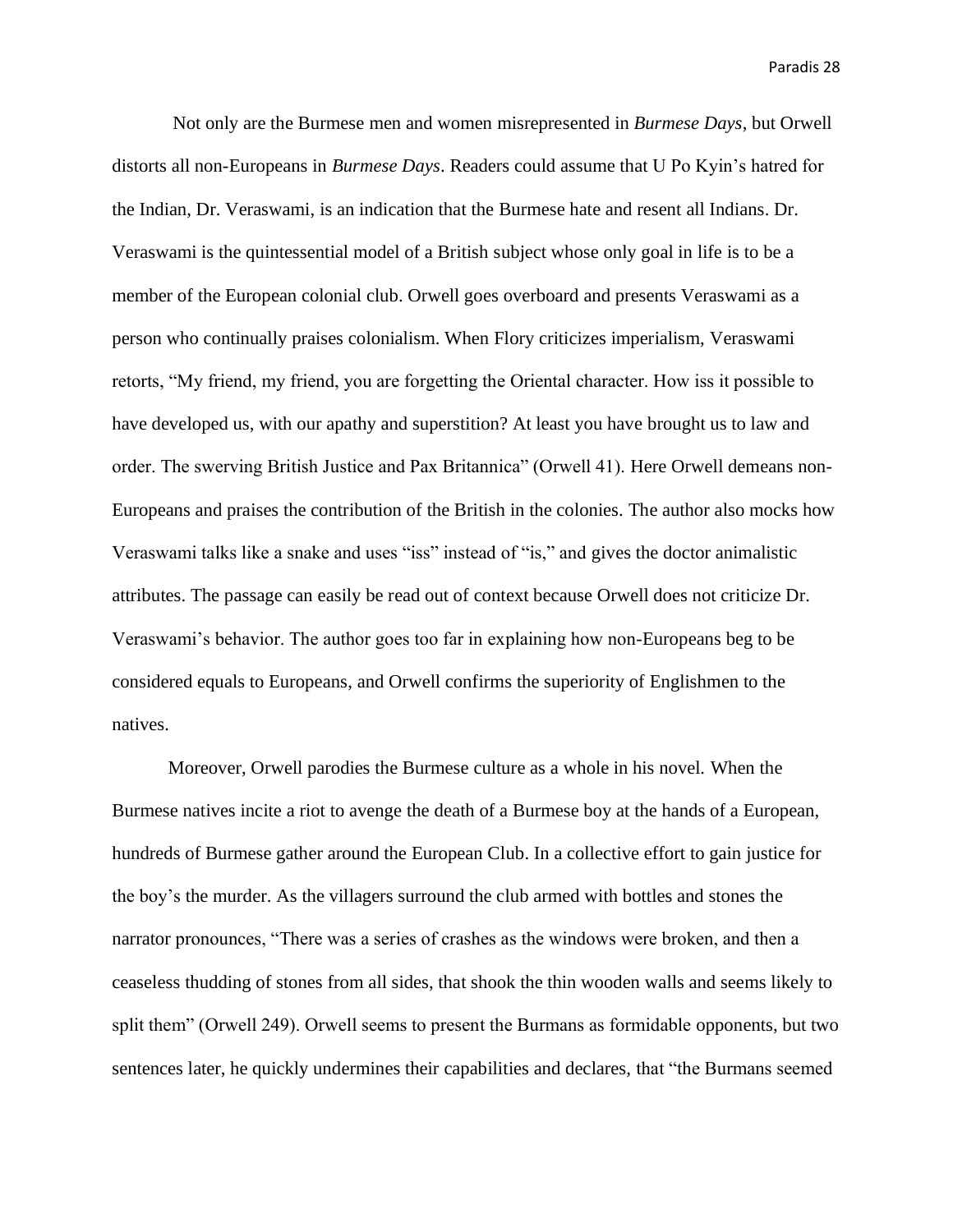Not only are the Burmese men and women misrepresented in *Burmese Days*, but Orwell distorts all non-Europeans in *Burmese Days*. Readers could assume that U Po Kyin's hatred for the Indian, Dr. Veraswami, is an indication that the Burmese hate and resent all Indians. Dr. Veraswami is the quintessential model of a British subject whose only goal in life is to be a member of the European colonial club. Orwell goes overboard and presents Veraswami as a person who continually praises colonialism. When Flory criticizes imperialism, Veraswami retorts, "My friend, my friend, you are forgetting the Oriental character. How iss it possible to have developed us, with our apathy and superstition? At least you have brought us to law and order. The swerving British Justice and Pax Britannica" (Orwell 41). Here Orwell demeans non-Europeans and praises the contribution of the British in the colonies. The author also mocks how Veraswami talks like a snake and uses "iss" instead of "is," and gives the doctor animalistic attributes. The passage can easily be read out of context because Orwell does not criticize Dr. Veraswami's behavior. The author goes too far in explaining how non-Europeans beg to be considered equals to Europeans, and Orwell confirms the superiority of Englishmen to the natives.

Moreover, Orwell parodies the Burmese culture as a whole in his novel. When the Burmese natives incite a riot to avenge the death of a Burmese boy at the hands of a European, hundreds of Burmese gather around the European Club. In a collective effort to gain justice for the boy's the murder. As the villagers surround the club armed with bottles and stones the narrator pronounces, "There was a series of crashes as the windows were broken, and then a ceaseless thudding of stones from all sides, that shook the thin wooden walls and seems likely to split them" (Orwell 249). Orwell seems to present the Burmans as formidable opponents, but two sentences later, he quickly undermines their capabilities and declares, that "the Burmans seemed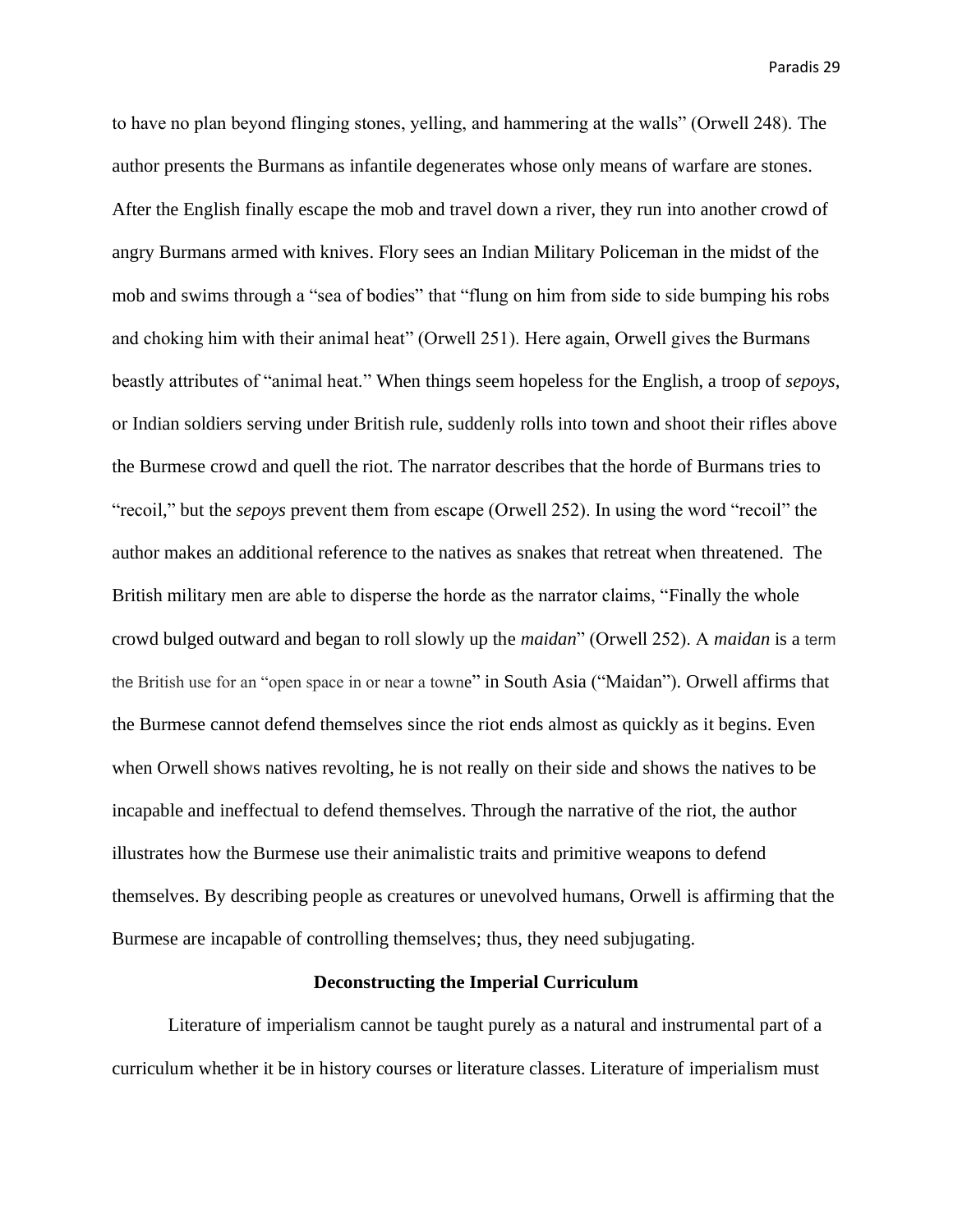to have no plan beyond flinging stones, yelling, and hammering at the walls" (Orwell 248). The author presents the Burmans as infantile degenerates whose only means of warfare are stones. After the English finally escape the mob and travel down a river, they run into another crowd of angry Burmans armed with knives. Flory sees an Indian Military Policeman in the midst of the mob and swims through a "sea of bodies" that "flung on him from side to side bumping his robs and choking him with their animal heat" (Orwell 251). Here again, Orwell gives the Burmans beastly attributes of "animal heat." When things seem hopeless for the English, a troop of *sepoys*, or Indian soldiers serving under British rule, suddenly rolls into town and shoot their rifles above the Burmese crowd and quell the riot. The narrator describes that the horde of Burmans tries to "recoil," but the *sepoys* prevent them from escape (Orwell 252). In using the word "recoil" the author makes an additional reference to the natives as snakes that retreat when threatened. The British military men are able to disperse the horde as the narrator claims, "Finally the whole crowd bulged outward and began to roll slowly up the *maidan*" (Orwell 252). A *maidan* is a term the British use for an "open space in or near a towne" in South Asia ("Maidan"). Orwell affirms that the Burmese cannot defend themselves since the riot ends almost as quickly as it begins. Even when Orwell shows natives revolting, he is not really on their side and shows the natives to be incapable and ineffectual to defend themselves. Through the narrative of the riot, the author illustrates how the Burmese use their animalistic traits and primitive weapons to defend themselves. By describing people as creatures or unevolved humans, Orwell is affirming that the Burmese are incapable of controlling themselves; thus, they need subjugating.

#### **Deconstructing the Imperial Curriculum**

Literature of imperialism cannot be taught purely as a natural and instrumental part of a curriculum whether it be in history courses or literature classes. Literature of imperialism must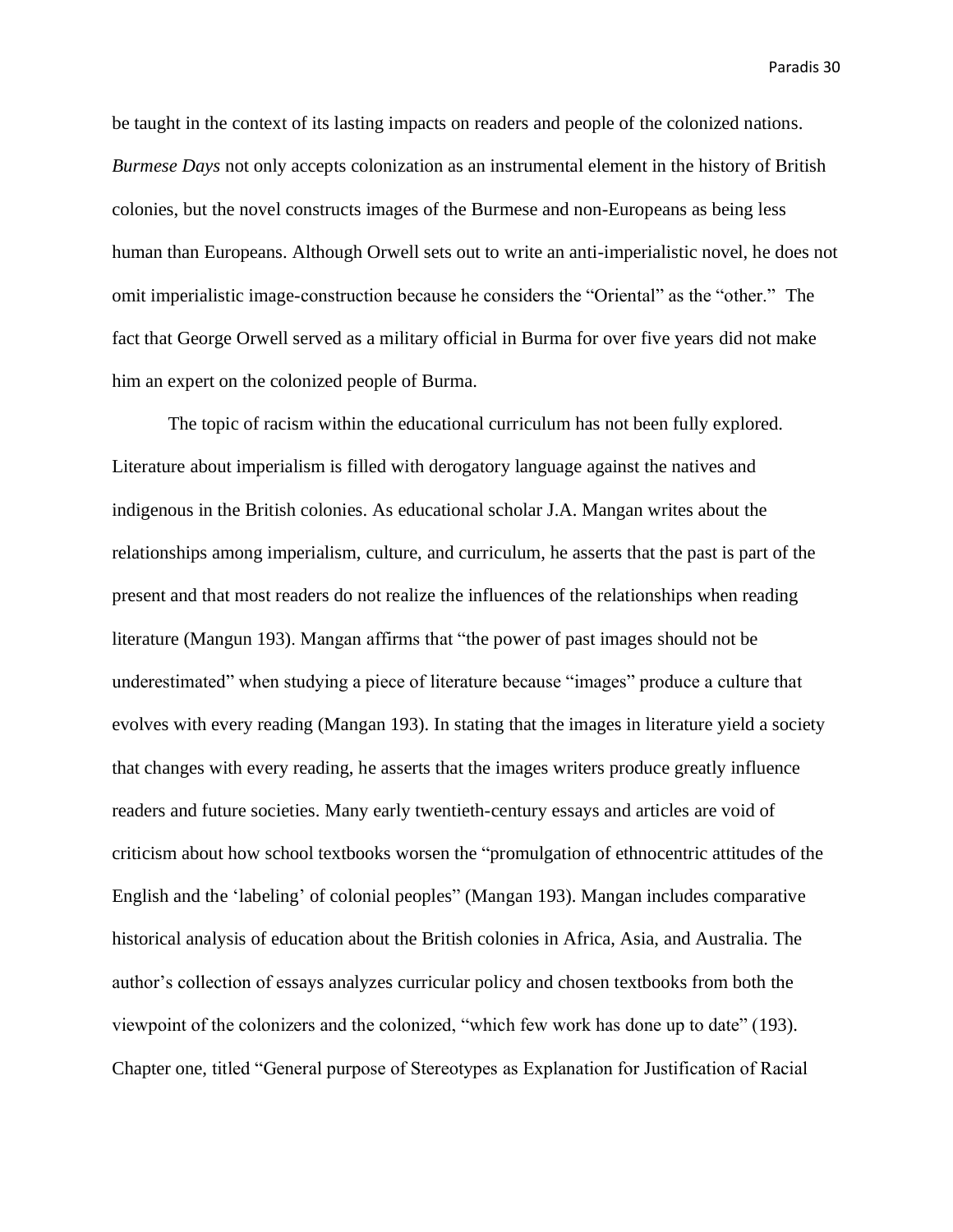be taught in the context of its lasting impacts on readers and people of the colonized nations. *Burmese Days* not only accepts colonization as an instrumental element in the history of British colonies, but the novel constructs images of the Burmese and non-Europeans as being less human than Europeans. Although Orwell sets out to write an anti-imperialistic novel, he does not omit imperialistic image-construction because he considers the "Oriental" as the "other." The fact that George Orwell served as a military official in Burma for over five years did not make him an expert on the colonized people of Burma.

The topic of racism within the educational curriculum has not been fully explored. Literature about imperialism is filled with derogatory language against the natives and indigenous in the British colonies. As educational scholar J.A. Mangan writes about the relationships among imperialism, culture, and curriculum, he asserts that the past is part of the present and that most readers do not realize the influences of the relationships when reading literature (Mangun 193). Mangan affirms that "the power of past images should not be underestimated" when studying a piece of literature because "images" produce a culture that evolves with every reading (Mangan 193). In stating that the images in literature yield a society that changes with every reading, he asserts that the images writers produce greatly influence readers and future societies. Many early twentieth-century essays and articles are void of criticism about how school textbooks worsen the "promulgation of ethnocentric attitudes of the English and the 'labeling' of colonial peoples" (Mangan 193). Mangan includes comparative historical analysis of education about the British colonies in Africa, Asia, and Australia. The author's collection of essays analyzes curricular policy and chosen textbooks from both the viewpoint of the colonizers and the colonized, "which few work has done up to date" (193). Chapter one, titled "General purpose of Stereotypes as Explanation for Justification of Racial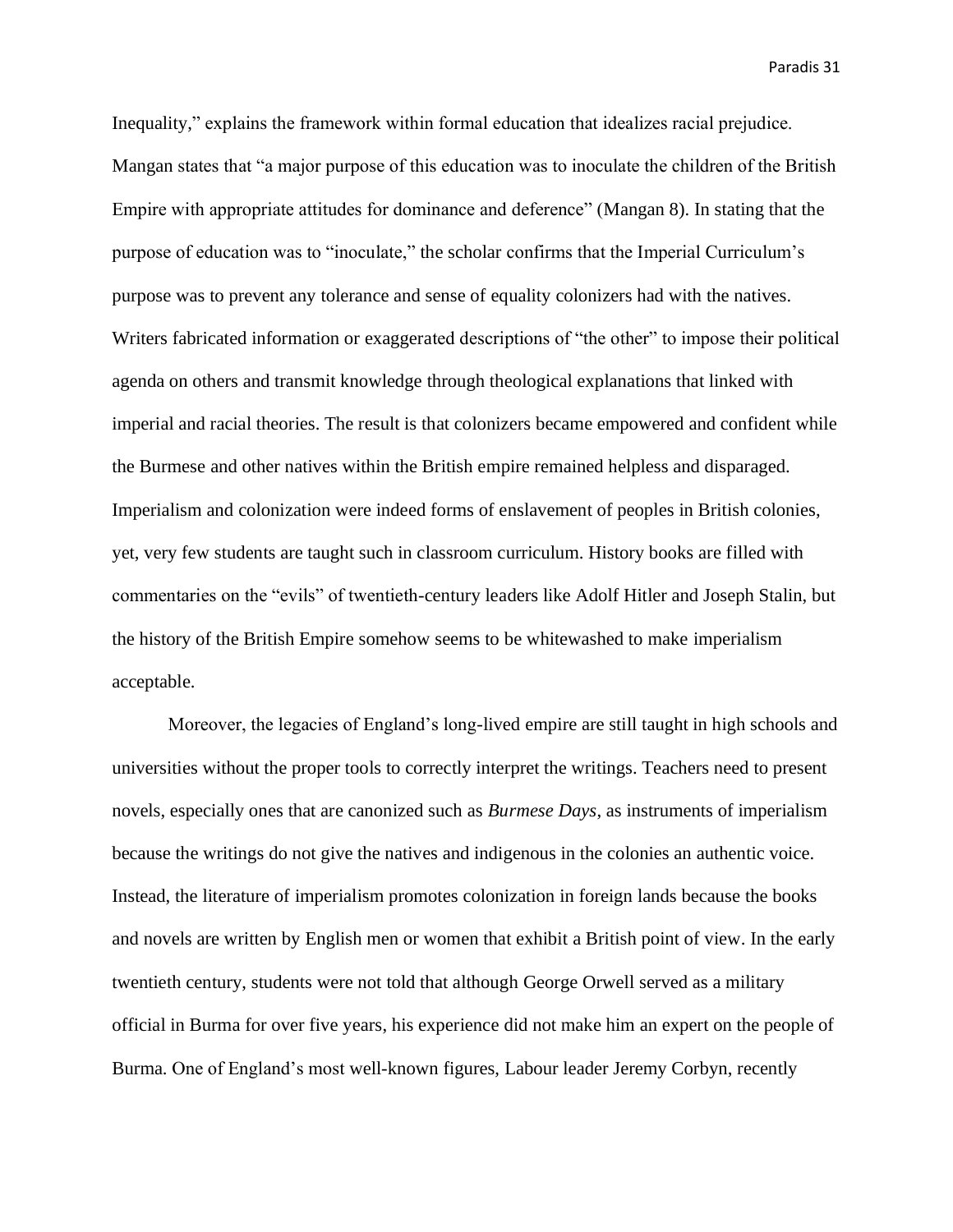Inequality," explains the framework within formal education that idealizes racial prejudice. Mangan states that "a major purpose of this education was to inoculate the children of the British Empire with appropriate attitudes for dominance and deference" (Mangan 8). In stating that the purpose of education was to "inoculate," the scholar confirms that the Imperial Curriculum's purpose was to prevent any tolerance and sense of equality colonizers had with the natives. Writers fabricated information or exaggerated descriptions of "the other" to impose their political agenda on others and transmit knowledge through theological explanations that linked with imperial and racial theories. The result is that colonizers became empowered and confident while the Burmese and other natives within the British empire remained helpless and disparaged. Imperialism and colonization were indeed forms of enslavement of peoples in British colonies, yet, very few students are taught such in classroom curriculum. History books are filled with commentaries on the "evils" of twentieth-century leaders like Adolf Hitler and Joseph Stalin, but the history of the British Empire somehow seems to be whitewashed to make imperialism acceptable.

Moreover, the legacies of England's long-lived empire are still taught in high schools and universities without the proper tools to correctly interpret the writings. Teachers need to present novels, especially ones that are canonized such as *Burmese Days*, as instruments of imperialism because the writings do not give the natives and indigenous in the colonies an authentic voice. Instead, the literature of imperialism promotes colonization in foreign lands because the books and novels are written by English men or women that exhibit a British point of view. In the early twentieth century, students were not told that although George Orwell served as a military official in Burma for over five years, his experience did not make him an expert on the people of Burma. One of England's most well-known figures, Labour leader Jeremy Corbyn, recently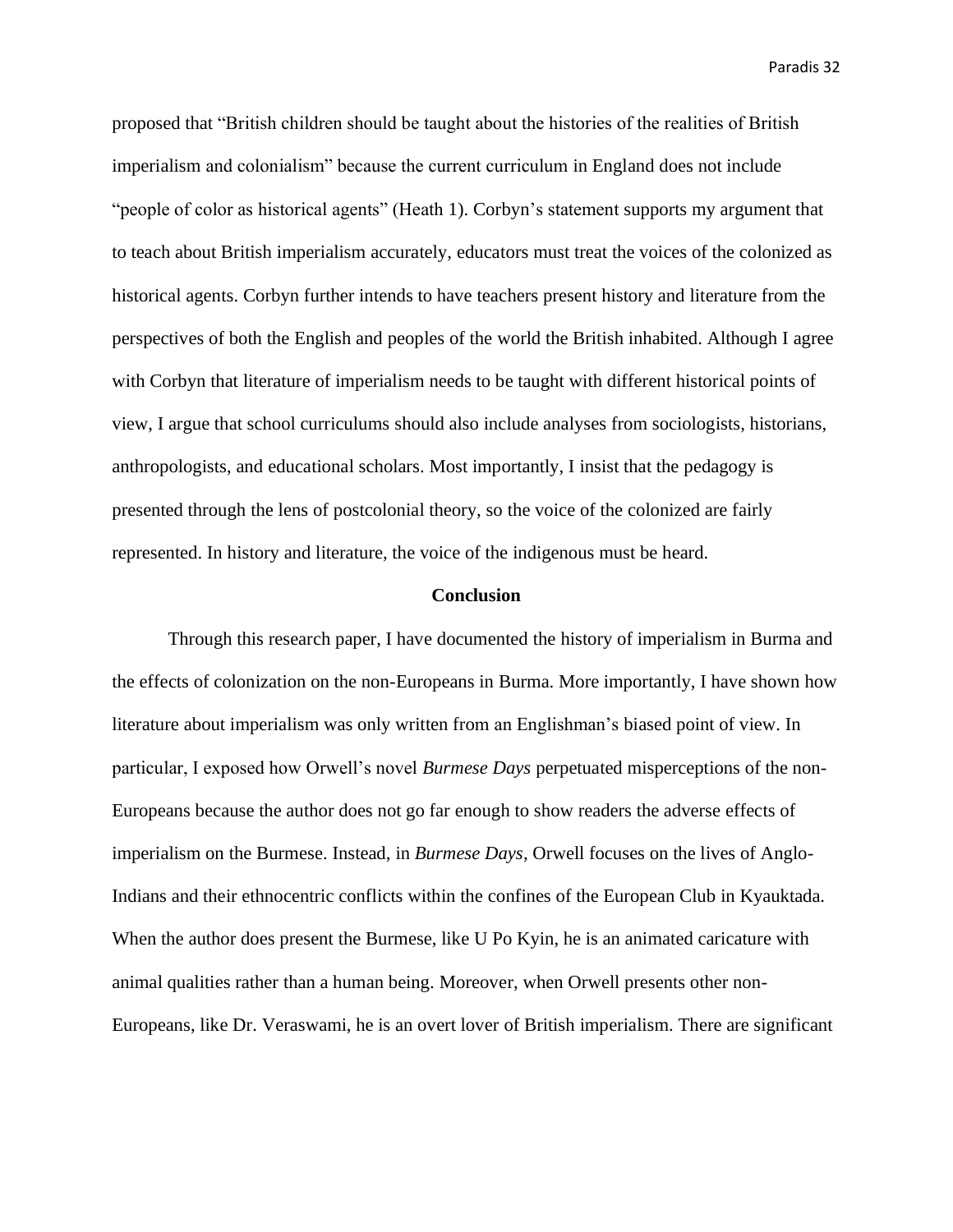proposed that "British children should be taught about the histories of the realities of British imperialism and colonialism" because the current curriculum in England does not include "people of color as historical agents" (Heath 1). Corbyn's statement supports my argument that to teach about British imperialism accurately, educators must treat the voices of the colonized as historical agents. Corbyn further intends to have teachers present history and literature from the perspectives of both the English and peoples of the world the British inhabited. Although I agree with Corbyn that literature of imperialism needs to be taught with different historical points of view, I argue that school curriculums should also include analyses from sociologists, historians, anthropologists, and educational scholars. Most importantly, I insist that the pedagogy is presented through the lens of postcolonial theory, so the voice of the colonized are fairly represented. In history and literature, the voice of the indigenous must be heard.

#### **Conclusion**

Through this research paper, I have documented the history of imperialism in Burma and the effects of colonization on the non-Europeans in Burma. More importantly, I have shown how literature about imperialism was only written from an Englishman's biased point of view. In particular, I exposed how Orwell's novel *Burmese Days* perpetuated misperceptions of the non-Europeans because the author does not go far enough to show readers the adverse effects of imperialism on the Burmese. Instead, in *Burmese Days*, Orwell focuses on the lives of Anglo-Indians and their ethnocentric conflicts within the confines of the European Club in Kyauktada. When the author does present the Burmese, like U Po Kyin, he is an animated caricature with animal qualities rather than a human being. Moreover, when Orwell presents other non-Europeans, like Dr. Veraswami, he is an overt lover of British imperialism. There are significant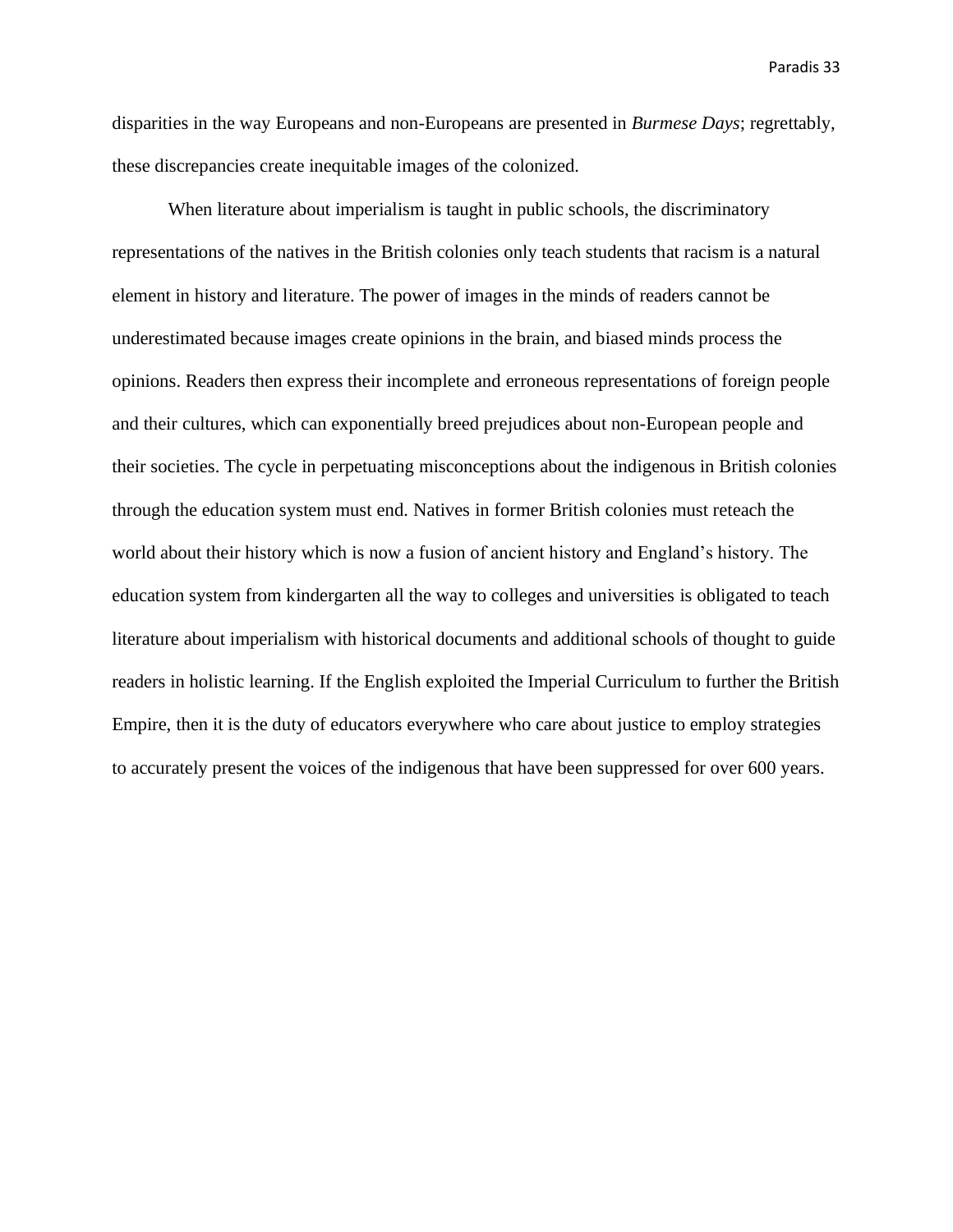disparities in the way Europeans and non-Europeans are presented in *Burmese Days*; regrettably, these discrepancies create inequitable images of the colonized.

When literature about imperialism is taught in public schools, the discriminatory representations of the natives in the British colonies only teach students that racism is a natural element in history and literature. The power of images in the minds of readers cannot be underestimated because images create opinions in the brain, and biased minds process the opinions. Readers then express their incomplete and erroneous representations of foreign people and their cultures, which can exponentially breed prejudices about non-European people and their societies. The cycle in perpetuating misconceptions about the indigenous in British colonies through the education system must end. Natives in former British colonies must reteach the world about their history which is now a fusion of ancient history and England's history. The education system from kindergarten all the way to colleges and universities is obligated to teach literature about imperialism with historical documents and additional schools of thought to guide readers in holistic learning. If the English exploited the Imperial Curriculum to further the British Empire, then it is the duty of educators everywhere who care about justice to employ strategies to accurately present the voices of the indigenous that have been suppressed for over 600 years.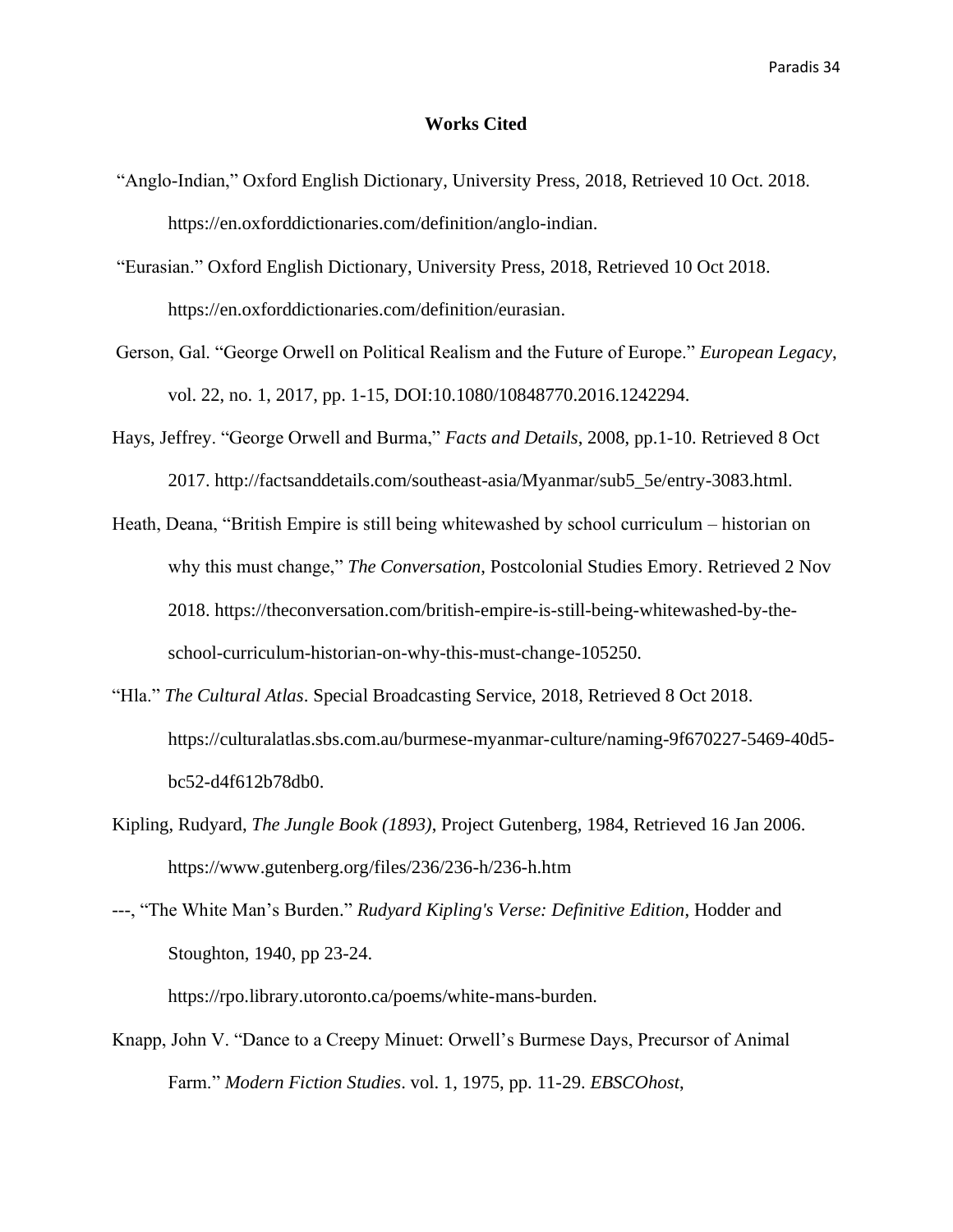### **Works Cited**

- "Anglo-Indian," [Oxford English Dictionary, University Press, 2018, Retrieved 10 Oct. 2018.](file:///C:/Users/c1paradis/Downloads/Oxford%20English%20Dictionary,%20University%20Press,%202018,%20Retrieved%2010%20Oct.%202018.%20https:/en.oxforddictionaries.com/definition/anglo-indian)  [https://en.oxforddictionaries.com/definition/anglo-indian.](file:///C:/Users/c1paradis/Downloads/Oxford%20English%20Dictionary,%20University%20Press,%202018,%20Retrieved%2010%20Oct.%202018.%20https:/en.oxforddictionaries.com/definition/anglo-indian)
- "Eurasian." Oxford English Dictionary, University Press, 2018, Retrieved 10 Oct 2018. https://en.oxforddictionaries.com/definition/eurasian.
- Gerson, Gal. "George Orwell on Political Realism and the Future of Europe." *European Legacy*, vol. 22, no. 1, 2017, pp. 1-15, DOI:10.1080/10848770.2016.1242294.
- Hays, Jeffrey. "George Orwell and Burma," *Facts and Details*, 2008, pp.1-10. Retrieved 8 Oct 2017. [http://factsanddetails.com/southeast-asia/Myanmar/sub5\\_5e/entry-3083.html.](http://factsanddetails.com/southeast-asia/Myanmar/sub5_5e/entry-3083.html)
- Heath, Deana, "British Empire is still being whitewashed by school curriculum historian on why this must change," *The Conversation*, Postcolonial Studies Emory. Retrieved 2 Nov 2018. https://theconversation.com/british-empire-is-still-being-whitewashed-by-theschool-curriculum-historian-on-why-this-must-change-105250.
- "Hla." *The Cultural Atlas*. Special Broadcasting Service, 2018, Retrieved 8 Oct 2018. https://culturalatlas.sbs.com.au/burmese-myanmar-culture/naming-9f670227-5469-40d5 bc52-d4f612b78db0.
- Kipling, Rudyard, *The Jungle Book (1893)*, Project Gutenberg, 1984, Retrieved 16 Jan 2006. <https://www.gutenberg.org/files/236/236-h/236-h.htm>
- ---, "The White Man's Burden." *Rudyard Kipling's Verse: Definitive Edition*, Hodder and Stoughton, 1940, pp 23-24.

[https://rpo.library.utoronto.ca/poems/white-mans-burden.](https://rpo.library.utoronto.ca/poems/white-mans-burden)

Knapp, John V. "Dance to a Creepy Minuet: Orwell's Burmese Days, Precursor of Animal Farm." *Modern Fiction Studies*. vol. 1, 1975, pp. 11-29. *EBSCOhost*,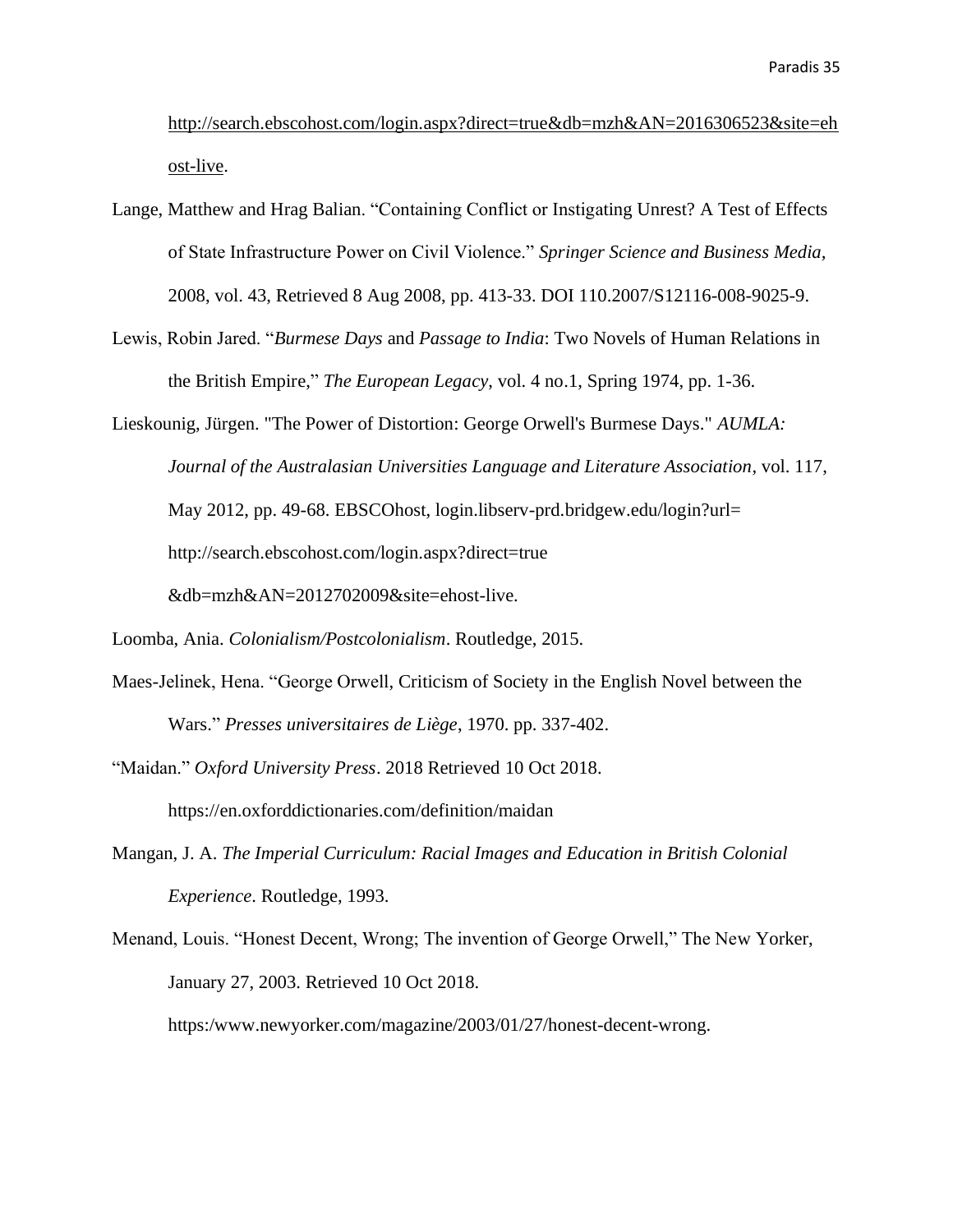[http://search.ebscohost.com/login.aspx?direct=true&db=mzh&AN=2016306523&site=eh](http://search.ebscohost.com/login.aspx?direct=true&db=mzh&AN=2016306523&site=ehost-live) [ost-live.](http://search.ebscohost.com/login.aspx?direct=true&db=mzh&AN=2016306523&site=ehost-live)

- Lange, Matthew and Hrag Balian. "Containing Conflict or Instigating Unrest? A Test of Effects of State Infrastructure Power on Civil Violence." *Springer Science and Business Media,* 2008, vol. 43, Retrieved 8 Aug 2008, pp. 413-33. DOI 110.2007/S12116-008-9025-9.
- Lewis, Robin Jared. "*Burmese Days* and *Passage to India*: Two Novels of Human Relations in the British Empire," *The European Legacy*, vol. 4 no.1, Spring 1974, pp. 1-36.

Lieskounig, Jürgen. "The Power of Distortion: George Orwell's Burmese Days." *AUMLA: Journal of the Australasian Universities Language and Literature Association*, vol. 117, May 2012, pp. 49-68. EBSCOhost, login.libserv-prd.bridgew.edu/login?url= http://search.ebscohost.com/login.aspx?direct=true &db=mzh&AN=2012702009&site=ehost-live.

- Maes-Jelinek, Hena. "George Orwell, Criticism of Society in the English Novel between the Wars." *Presses universitaires de Liège*, 1970. pp. 337-402.
- "Maidan." *Oxford University Press*. 2018 Retrieved 10 Oct 2018. https://en.oxforddictionaries.com/definition/maidan
- Mangan, J. A. *The Imperial Curriculum: Racial Images and Education in British Colonial Experience*. Routledge, 1993.
- [Menand, Louis. "Honest Decent, Wrong; The invention of George Orwell," The New Yorker,](file:///C:/Users/Maureen%20Battis/Documents/BSU%20Fall%202018/Honors%20Thesis/Menand,%20Louis)  January 27, 2003. [Retrieved 10 Oct 2018.](file:///C:/Users/Maureen%20Battis/Documents/BSU%20Fall%202018/Honors%20Thesis/Menand,%20Louis)

[https:/www.newyorker.com/magazine/2003/01/27/honest-decent-wrong.](file:///C:/Users/Maureen%20Battis/Documents/BSU%20Fall%202018/Honors%20Thesis/Menand,%20Louis)

Loomba, Ania. *Colonialism/Postcolonialism*. Routledge, 2015.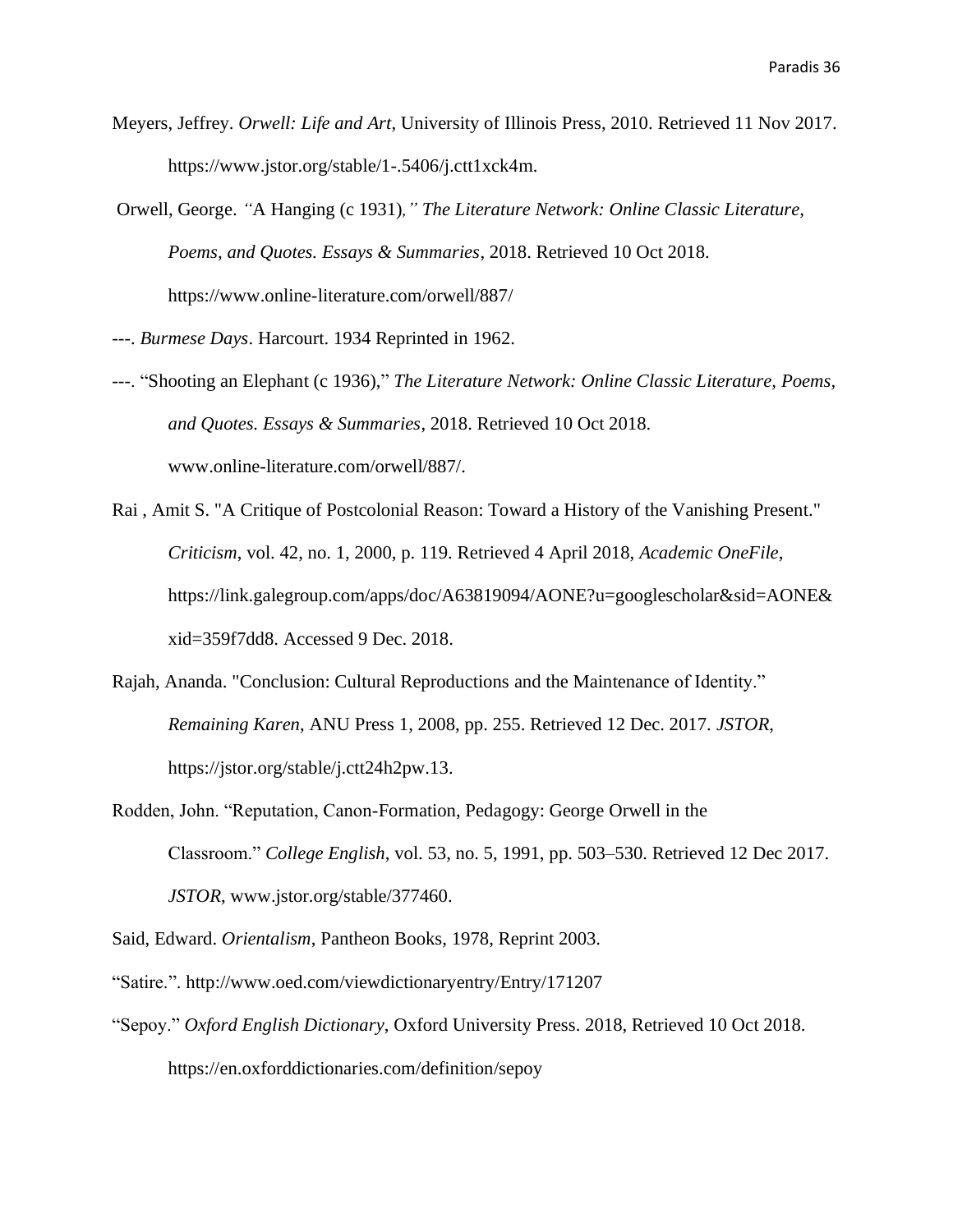- Meyers, Jeffrey. *Orwell: Life and Art*, University of Illinois Press, 2010. Retrieved 11 Nov 2017. https://www.jstor.org/stable/1-.5406/j.ctt1xck4m.
- Orwell, George. *"*A Hanging (c 1931)*," The Literature Network: Online Classic Literature, Poems, and Quotes. Essays & Summaries*, 2018. Retrieved 10 Oct 2018. https:/[/www.online-literature.com/orwell/887/](http://www.online-literature.com/orwell/887/)
- ---. *Burmese Days*. Harcourt. 1934 Reprinted in 1962.
- ---. "Shooting an Elephant (c 1936)," *The Literature Network: Online Classic Literature, Poems, and Quotes. Essays & Summaries*, 2018. Retrieved 10 Oct 2018. [www.online-literature.com/orwell/887/.](http://www.online-literature.com/orwell/887/)
- Rai , Amit S. "A Critique of Postcolonial Reason: Toward a History of the Vanishing Present." *Criticism*, vol. 42, no. 1, 2000, p. 119. Retrieved 4 April 2018, *Academic OneFile*, https://link.galegroup.com/apps/doc/A63819094/AONE?u=googlescholar&sid=AONE& xid=359f7dd8. Accessed 9 Dec. 2018.
- Rajah, Ananda. "Conclusion: Cultural Reproductions and the Maintenance of Identity." *Remaining Karen*, ANU Press 1, 2008, pp. 255. Retrieved 12 Dec. 2017. *JSTOR*, [https://jstor.org/stable/j.ctt24h2pw.13.](https://jstor.org/stable/j.ctt24h2pw.13)
- Rodden, John. "Reputation, Canon-Formation, Pedagogy: George Orwell in the Classroom." *College English*, vol. 53, no. 5, 1991, pp. 503–530. Retrieved 12 Dec 2017. *JSTOR*, [www.jstor.org/stable/377460.](http://www.jstor.org/stable/377460)
- Said, Edward. *Orientalism*, Pantheon Books, 1978, Reprint 2003.
- "Satire.".<http://www.oed.com/viewdictionaryentry/Entry/171207>
- "Sepoy." *Oxford English Dictionary*, Oxford University Press. 2018, Retrieved 10 Oct 2018. https://en.oxforddictionaries.com/definition/sepoy